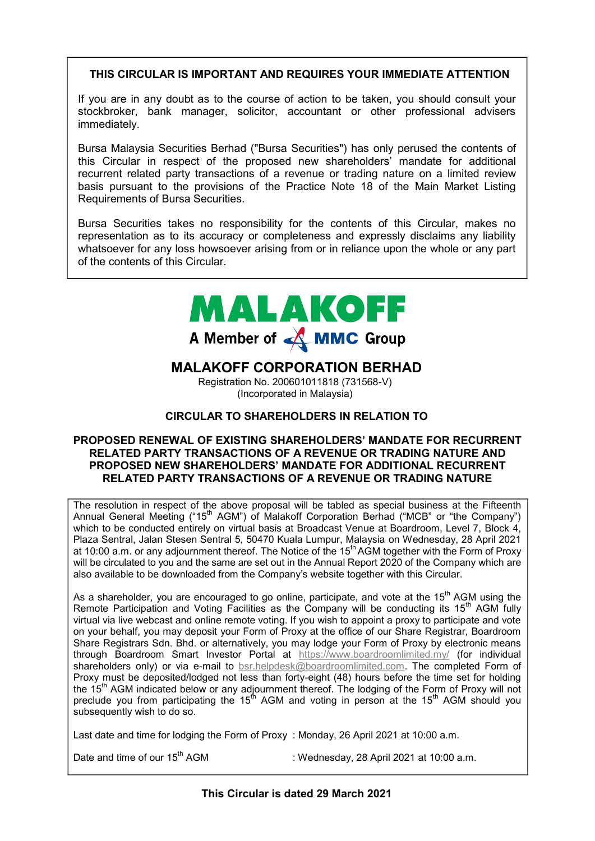### **THIS CIRCULAR IS IMPORTANT AND REQUIRES YOUR IMMEDIATE ATTENTION THIS CIRCULAR IS IMPORTANT AND REQUIRES YOUR IMMEDIATE ATTENTION THIS CIRCULAR IS IMPORTANT AND REQUIRES YOUR IMMEDIATE ATTENTION THIS CIRCULAR IS IMPORTANT AND REQUIRES IMMEDIATE ATTENTION**

If you are in any doubt as to the course of action to be taken, you should consult your If you are in any doubt as to the course of action to be taken, you should consult your<br>stockbroker, bank manager, solicitor, accountant or other professional advisers immediately. immediately. immediately. immediately. If you are in any doubt as to the course of action to be taken, you should consult your If you are in any doubt as to the course of action to be taken, you should consult your

Bursa Malaysia Securities Berhad ("Bursa Securities") has only perused the contents of this Circular in respect of the proposed new shareholders' mandate for additional recurrent related party transactions of a revenue or trading nature on a limited review basis pursuant to the provisions of the Practice Note 18 of the Main Market Listing Requirements of Bursa Securities. Requirements of Bursa Securities. Bursa Malaysia Securities Berhad ("Bursa Securities") has only perused the contents of this Circular in respect of the proposed new shareholders' mandate for additional recurrent respect of the proposed new shareholders inahuate for additional recurrent related party transactions of a revenue or trading nature on a limited review Bursa Malaysia Securities Berhad ("Bursa Securities") has only perused the contents of Bursa Malaysia Securities Berhad ("Bursa hasonly perused the contents of Bursa Malaysia Securities Berhad ("Bursa Securities") has only perused the contents of<br>this Circular in respect of the proposed new shareholders' mandate for additional recurrent related party transactions of a revenue or trading nature on a limited review<br>basis pursuant to the provisions of the Practice Note 18 of the Main Market Listing<br>Requirements of Bursa Securities.

Bursa Securities takes no responsibility for the contents of this Circular, makes no representation as to its accuracy or completeness and expressly disclaims any liability whatsoever for any loss howsoever arising from or in reliance upon the whole or any part of the contents of this Circular. Bursa Securities takes no responsibility for the contents of this Circular, makes no Bursa Securities takes no responsibility for the contents of this Circular, makes no representation as to its accuracy or completeness and expressive discidinity any hability whatsoever for any loss nowse whatsoever for any loss howsoever arising from or in reliance upon the whole or any part of the contents of this Circular. of the contents of this Circular. Requirements of Bursa Securities.<br>Bursa Securities takes no responsibility for the contents of this Circular, makes no<br>representation as to its accuracy or completeness and expressly disclaims any liability<br>whatsoever for Bursa Securities takes no responsibility for the contents of this Circular, makes no



## **MALAKOFF CORPORATION BERHAD MALAKOFF CORPORATION BERHAD**  Registration No. 200601011818 (731568-V) **MALAKOFF CORPORATION BERHAD MALAKOFF CORPORATION BERHAD MALAKOFF CORPORATION BERHAD**

Registration No. 200601011818 (731568-V) (Incorporated in Malaysia) (Incorporated in Malaysia) in Malaysia) (Incorporated in Malaysia)

### **CIRCULAR TO SHAREHOLDERS IN RELATION TO CIRCULAR TO SHAREHOLDERS IN RELATION TO CIRCULAR TO SHAREHOLDERS IN RELATION TO CIRCULAR TO SHAREHOLDERS IN RELATION TO CIRCULAR TO SHAREHOLDERS TO**

#### **PROPOSED RENEWAL OF EXISTING SHAREHOLDERS' MANDATE FOR RECURRENT RELATED PARTY TRANSACTIONS OF A REVENUE OR TRADING NATURE AND PROPOSED NEW SHAREHOLDERS' MANDATE FOR ADDITIONAL RECURRENT RELATED PARTY TRANSACTIONS OF A REVENUE OR TRADING NATURE PROPOSED RENEWAL OF EXISTING SHAREHOLDERS' MANDATE FOR RECURRENT RELATED PARTY TRANSACTIONS OF A REVENUE OR TRADING NATURE AND PROPOSED NEW SHAREHOLDERS' MANDATE FOR ADDITIONAL RECURRENT RELATED PARTY TRANSACTIONS OF A REVENUE OR TRADING NATURE**  PROPOSED RENEWAL OF EXISTING SHAREHOLDERS' MANDATE FOR RECURRENT **RELATED PARTY TRANSACTIONS OF A REVENUE OR TRADING NATURE AND RELATED PARTY TRANSACTIONS OF A REVENUE OR TRADING NATURE AND PROPOSED NEW SHAREHOLDERS' MANDATE FOR ADDITIONAL RECURRENT PROPOSED NEW SHAREHOLDERS' MANDATE FOR ADDITIONAL RECURRENT RELATED PARTY TRANSACTIONS OF A REVENUE OR TRADING NATURE ANDPROPOSED NEW SHAREHOLDERS' MANDATE FOR ADDITIONAL RECURRENT RELATED PARTY TRANSACTIONS OF A REVENUE OR TRADING NATURE PARTY TRANSACTIONS OF A REVENUE OR RELATED PARTY TRANSACTIONS OF A REVENUE OR TRADING NATURE**

The resolution in respect of the above proposal will be tabled as special business at the Fifteenth Annual General Meeting ("15<sup>th</sup> AGM") of Malakoff Corporation Berhad ("MCB" or "the Company") which to be conducted entirely on virtual basis at Broadcast Venue at Boardroom, Level 7, Block 4, Plaza Sentral, Jalan Stesen Sentral 5, 50470 Kuala Lumpur, Malaysia on Wednesday, 28 April 2021 at 10:00 a.m. or any adjournment thereof. The Notice of the 15<sup>th</sup> AGM together with the Form of Proxy will be circulated to you and the same are set out in the Annual Report 2020 of the Company which are also available to be downloaded from the Company's website together with this Circular. also available to be downloaded from the Company's website together with this Circular. also available to be downloaded from the Company's website together with this Circular.  $T$  resolution in respect of the above proposal will be tabled as special business at the  $T$ The resolution in respect of the above proposal will be tabled as special business at the Fifteenth at 10:00 a.m. or any adjournment thereof. The Notice of the 15<sup>th</sup> AGM together with the Form of Proxy<br>will be circulated to you and the same are set out in the Annual Report 2020 of the Company which are

As a shareholder, you are encouraged to go online, participate, and vote at the 15<sup>th</sup> AGM using the Remote Participation and Voting Facilities as the Company will be conducting its 15<sup>th</sup> AGM fully Remote Participation and Voting Facilities as the Company will be conducting its 15<sup>th</sup> AGM fully virtual via live webcast and online remote voting. If you wish to appoint a proxy to participate and vote on your behalf, you may deposit your Form of Proxy at the office of our Share Registrar, Boardroom virtual via live webcast and online remote voting. If you wish to appoint a proxy to participate and vote<br>on your behalf, you may deposit your Form of Proxy at the office of our Share Registrar, Boardroom<br>Share Registrars Virtual via live webcast and online remote voting. If you wish to appoint a proxy to participate and vote<br>on your behalf, you may deposit your Form of Proxy at the office of our Share Registrar, Boardroom<br>Share Registrars shareholders only) or via e-mail to bsr.helpdesk@boardroomlimited.com. The completed Form of shareholders only) or via e-mail to **bsr.helpdesk@boardroomlimited.com**. The completed Form of<br>Proxy must be deposited/lodged not less than forty-eight (48) hours before the time set for holding the 15<sup>th</sup> AGM indicated below or any adjournment thereof. The lodging of the Form of Proxy will not preclude you from participating the 15<sup>th</sup> AGM and voting in person at the 15<sup>th</sup> AGM should you subsequently wish to do so. subsequently wish to do so. subsequently wish to do so.  $\mathcal{A}$ s are encouraged to go online, participate, and vote at the 15th AGM using the 15th AGM using the 15th AGM using the 15th AGM using the 15th AGM using the 15th AGM using the 15th AGM using the 15th AGM using the 1 also available to be downloaded from the Company's website together with this Circular.<br>As a shareholder, you are encouraged to go online, participate, and vote at the 15<sup>th</sup> AGM using the the 15" AGM indicated below or any adjournment thereof. The lodging of the Form of Proxy will not preciude you from particip Proxy must be deposited/lodged not less than forty-eight (48) hours before the time set for holding the 15<sup>th</sup> AGM indicated below or any adjournment thereof. The lodging of the Form of Proxy will not preclude you from participating the 15<sup>th</sup> AGM and voting in person at the 15<sup>th</sup> AGM should you the 15<sup>th</sup> AGM indicated below or any adjournment thereof. The lodging of the Form of Proxy will not preclude you from participating the  $15^{th}$  AGM and voting in person at the  $15^{th}$  AGM should you subsequently wish to do so. **THE CIRCULAR IS IMPORTANT AND REQUIRES YOUR HIMMEDIATE ATTENTION<br>
If you are in any doubt as to the course of action to be taken, you should crossily your<br>stabilizers, bank manager, solicity, accounting to chef profession** the  $15<sup>th</sup>$  AGM indicated below or any adjournment thereof. The lodging of the Form of Proxy will not you from participating the 15<sup>th</sup> AGM and voting in person at the 15<sup>th</sup> AGM should you

Last date and time for lodging the Form of Proxy : Monday, 26 April 2021 at 10:00 a.m. Last date and time for lodging the Form of Proxy : Monday, 26 April 2021 at 10:00 a.m. Last date and time for lodging the Form of Proxy  $\therefore$  Monday, 26 April 2021 at 10:00 a.m.<br>Date and time of our 15<sup>th</sup> AGM  $\therefore$  Wednesday, 28 April 2021 at 10:00 a.m.

Date and time of our 15<sup>th</sup> AGM

Date and time of our 15<sup>th</sup> AGM : Wednesday, 28 April 2021 at 10:00 a.m.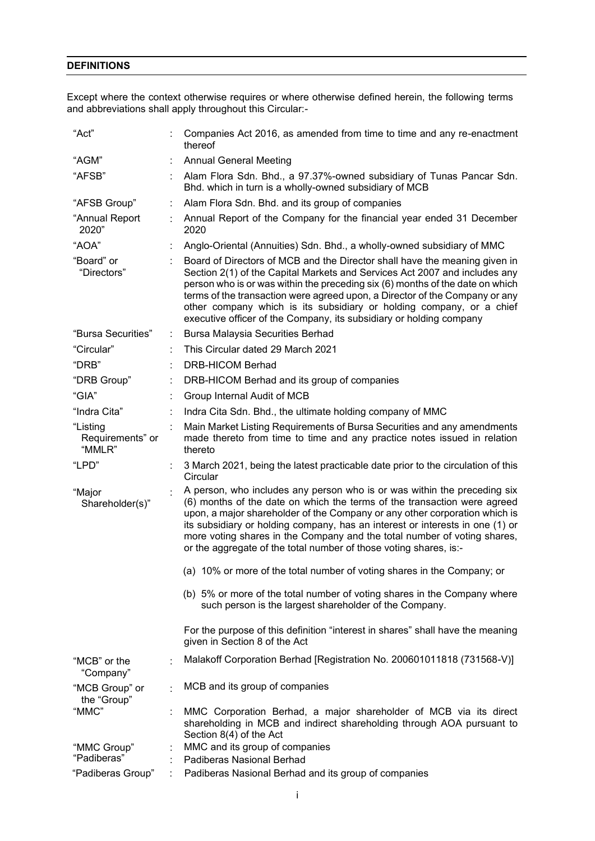## **DEFINITIONS DEFINITIONS DEFINITIONS DEFINITIONS DEFINITIONS**

Except where the context otherwise requires or where otherwise defined herein, the following terms Except where the context otherwise requires or where otherwise defined herein, the following terms and abbreviations shall apply throughout this Circular:- and abbreviations shall apply throughout this Circular:- and abbreviations shall apply throughout this Circular:- Except where the context otherwise requires or where  $E_{\rm eff}$  where the context otherwise requires or where otherwise defined herein, the following terms of terms or  $\sigma$ Except where the context otherwise requires or where otherwise defined herein, the following terms

| "Act"                                  |   | Companies Act 2016, as amended from time to time and any re-enactment<br>thereof                                                                                                                                                                                                                                                                                                                                                                                        |
|----------------------------------------|---|-------------------------------------------------------------------------------------------------------------------------------------------------------------------------------------------------------------------------------------------------------------------------------------------------------------------------------------------------------------------------------------------------------------------------------------------------------------------------|
| "AGM"                                  |   | <b>Annual General Meeting</b>                                                                                                                                                                                                                                                                                                                                                                                                                                           |
| "AFSB"                                 |   | Alam Flora Sdn. Bhd., a 97.37%-owned subsidiary of Tunas Pancar Sdn.<br>Bhd. which in turn is a wholly-owned subsidiary of MCB                                                                                                                                                                                                                                                                                                                                          |
| "AFSB Group"                           |   | Alam Flora Sdn. Bhd. and its group of companies                                                                                                                                                                                                                                                                                                                                                                                                                         |
| "Annual Report<br>2020"                |   | Annual Report of the Company for the financial year ended 31 December<br>2020                                                                                                                                                                                                                                                                                                                                                                                           |
| "AOA"                                  |   | Anglo-Oriental (Annuities) Sdn. Bhd., a wholly-owned subsidiary of MMC                                                                                                                                                                                                                                                                                                                                                                                                  |
| "Board" or<br>"Directors"              |   | Board of Directors of MCB and the Director shall have the meaning given in<br>Section 2(1) of the Capital Markets and Services Act 2007 and includes any<br>person who is or was within the preceding six (6) months of the date on which<br>terms of the transaction were agreed upon, a Director of the Company or any<br>other company which is its subsidiary or holding company, or a chief<br>executive officer of the Company, its subsidiary or holding company |
| "Bursa Securities"                     | ÷ | <b>Bursa Malaysia Securities Berhad</b>                                                                                                                                                                                                                                                                                                                                                                                                                                 |
| "Circular"                             |   | This Circular dated 29 March 2021                                                                                                                                                                                                                                                                                                                                                                                                                                       |
| "DRB"                                  |   | <b>DRB-HICOM Berhad</b>                                                                                                                                                                                                                                                                                                                                                                                                                                                 |
| "DRB Group"                            |   | DRB-HICOM Berhad and its group of companies                                                                                                                                                                                                                                                                                                                                                                                                                             |
| "GIA"                                  |   | Group Internal Audit of MCB                                                                                                                                                                                                                                                                                                                                                                                                                                             |
| "Indra Cita"                           |   | Indra Cita Sdn. Bhd., the ultimate holding company of MMC                                                                                                                                                                                                                                                                                                                                                                                                               |
| "Listing<br>Requirements" or<br>"MMLR" |   | Main Market Listing Requirements of Bursa Securities and any amendments<br>made thereto from time to time and any practice notes issued in relation<br>thereto                                                                                                                                                                                                                                                                                                          |
| "LPD"                                  |   | 3 March 2021, being the latest practicable date prior to the circulation of this<br>Circular                                                                                                                                                                                                                                                                                                                                                                            |
| "Major<br>Shareholder(s)"              |   | A person, who includes any person who is or was within the preceding six<br>(6) months of the date on which the terms of the transaction were agreed<br>upon, a major shareholder of the Company or any other corporation which is<br>its subsidiary or holding company, has an interest or interests in one (1) or<br>more voting shares in the Company and the total number of voting shares,<br>or the aggregate of the total number of those voting shares, is:-    |
|                                        |   | (a) 10% or more of the total number of voting shares in the Company; or                                                                                                                                                                                                                                                                                                                                                                                                 |
|                                        |   | (b) 5% or more of the total number of voting shares in the Company where<br>such person is the largest shareholder of the Company.                                                                                                                                                                                                                                                                                                                                      |
|                                        |   | For the purpose of this definition "interest in shares" shall have the meaning<br>given in Section 8 of the Act                                                                                                                                                                                                                                                                                                                                                         |
| "MCB" or the<br>"Company"              |   | Malakoff Corporation Berhad [Registration No. 200601011818 (731568-V)]                                                                                                                                                                                                                                                                                                                                                                                                  |
| "MCB Group" or<br>the "Group"          |   | MCB and its group of companies                                                                                                                                                                                                                                                                                                                                                                                                                                          |
| "MMC"                                  |   | MMC Corporation Berhad, a major shareholder of MCB via its direct<br>shareholding in MCB and indirect shareholding through AOA pursuant to<br>Section 8(4) of the Act                                                                                                                                                                                                                                                                                                   |
| "MMC Group"<br>"Padiberas"             |   | MMC and its group of companies<br>Padiberas Nasional Berhad                                                                                                                                                                                                                                                                                                                                                                                                             |
| "Padiberas Group"                      |   | Padiberas Nasional Berhad and its group of companies                                                                                                                                                                                                                                                                                                                                                                                                                    |
|                                        |   |                                                                                                                                                                                                                                                                                                                                                                                                                                                                         |

"Padiberas Group" : Padiberas Nasional Berhad and its group of companies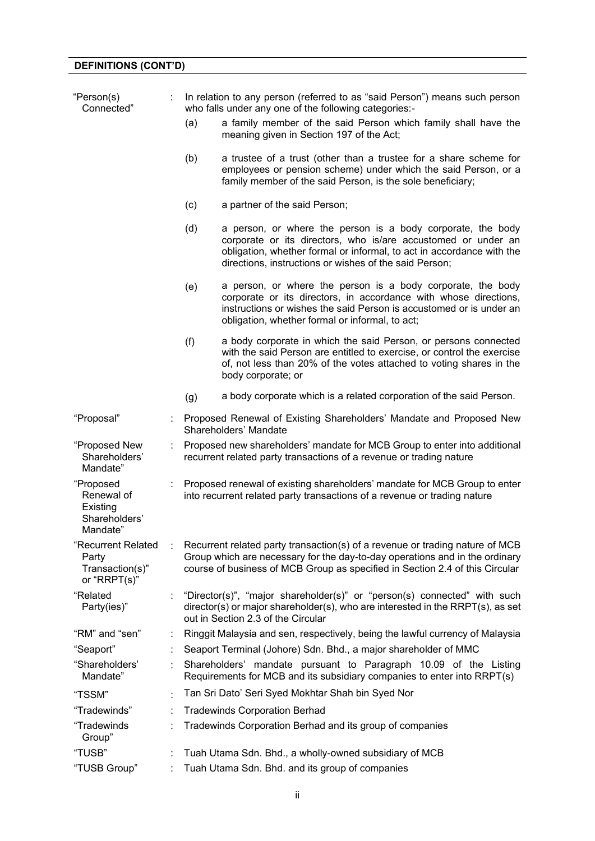# **DEFINITIONS (CONT'D)**

| "Person(s)<br>Connected"                                         |   |     | In relation to any person (referred to as "said Person") means such person<br>who falls under any one of the following categories:-                                                                                                                             |  |  |  |  |  |
|------------------------------------------------------------------|---|-----|-----------------------------------------------------------------------------------------------------------------------------------------------------------------------------------------------------------------------------------------------------------------|--|--|--|--|--|
|                                                                  |   | (a) | a family member of the said Person which family shall have the<br>meaning given in Section 197 of the Act;                                                                                                                                                      |  |  |  |  |  |
|                                                                  |   | (b) | a trustee of a trust (other than a trustee for a share scheme for<br>employees or pension scheme) under which the said Person, or a<br>family member of the said Person, is the sole beneficiary;                                                               |  |  |  |  |  |
|                                                                  |   | (c) | a partner of the said Person;                                                                                                                                                                                                                                   |  |  |  |  |  |
|                                                                  |   | (d) | a person, or where the person is a body corporate, the body<br>corporate or its directors, who is/are accustomed or under an<br>obligation, whether formal or informal, to act in accordance with the<br>directions, instructions or wishes of the said Person; |  |  |  |  |  |
|                                                                  |   | (e) | a person, or where the person is a body corporate, the body<br>corporate or its directors, in accordance with whose directions,<br>instructions or wishes the said Person is accustomed or is under an<br>obligation, whether formal or informal, to act;       |  |  |  |  |  |
|                                                                  |   | (f) | a body corporate in which the said Person, or persons connected<br>with the said Person are entitled to exercise, or control the exercise<br>of, not less than 20% of the votes attached to voting shares in the<br>body corporate; or                          |  |  |  |  |  |
|                                                                  |   | (g) | a body corporate which is a related corporation of the said Person.                                                                                                                                                                                             |  |  |  |  |  |
| "Proposal"                                                       |   |     | Proposed Renewal of Existing Shareholders' Mandate and Proposed New<br>Shareholders' Mandate                                                                                                                                                                    |  |  |  |  |  |
| "Proposed New<br>Shareholders'<br>Mandate"                       |   |     | Proposed new shareholders' mandate for MCB Group to enter into additional<br>recurrent related party transactions of a revenue or trading nature                                                                                                                |  |  |  |  |  |
| "Proposed<br>Renewal of<br>Existing<br>Shareholders'<br>Mandate" |   |     | Proposed renewal of existing shareholders' mandate for MCB Group to enter<br>into recurrent related party transactions of a revenue or trading nature                                                                                                           |  |  |  |  |  |
| "Recurrent Related<br>Party<br>Transaction(s)"<br>or "RRPT(s)"   |   |     | Recurrent related party transaction(s) of a revenue or trading nature of MCB<br>Group which are necessary for the day-to-day operations and in the ordinary<br>course of business of MCB Group as specified in Section 2.4 of this Circular                     |  |  |  |  |  |
| "Related<br>Party(ies)"                                          |   |     | "Director(s)", "major shareholder(s)" or "person(s) connected" with such<br>director(s) or major shareholder(s), who are interested in the RRPT(s), as set<br>out in Section 2.3 of the Circular                                                                |  |  |  |  |  |
| "RM" and "sen"                                                   | ÷ |     | Ringgit Malaysia and sen, respectively, being the lawful currency of Malaysia                                                                                                                                                                                   |  |  |  |  |  |
| "Seaport"                                                        |   |     | Seaport Terminal (Johore) Sdn. Bhd., a major shareholder of MMC                                                                                                                                                                                                 |  |  |  |  |  |
| "Shareholders'<br>Mandate"                                       |   |     | Shareholders' mandate pursuant to Paragraph 10.09 of the Listing<br>Requirements for MCB and its subsidiary companies to enter into RRPT(s)                                                                                                                     |  |  |  |  |  |
| "TSSM"                                                           |   |     | Tan Sri Dato' Seri Syed Mokhtar Shah bin Syed Nor                                                                                                                                                                                                               |  |  |  |  |  |
| "Tradewinds"                                                     | ÷ |     | <b>Tradewinds Corporation Berhad</b>                                                                                                                                                                                                                            |  |  |  |  |  |
| "Tradewinds<br>Group"                                            |   |     | Tradewinds Corporation Berhad and its group of companies                                                                                                                                                                                                        |  |  |  |  |  |
| "TUSB"                                                           |   |     | Tuah Utama Sdn. Bhd., a wholly-owned subsidiary of MCB                                                                                                                                                                                                          |  |  |  |  |  |
| "TUSB Group"                                                     | ÷ |     | Tuah Utama Sdn. Bhd. and its group of companies                                                                                                                                                                                                                 |  |  |  |  |  |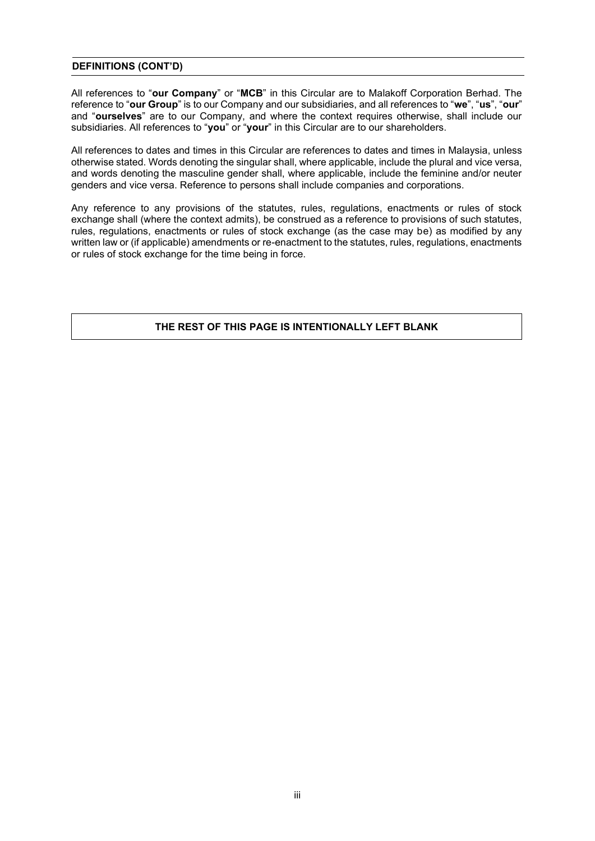# **DEFINITIONS (CONT'D)**

All references to "**our Company**" or "**MCB**" in this Circular are to Malakoff Corporation Berhad. The reference to "**our Group**" is to our Company and our subsidiaries, and all references to "**we**", "**us**", "**our**" and "**ourselves**" are to our Company, and where the context requires otherwise, shall include our subsidiaries. All references to "**you**" or "**your**" in this Circular are to our shareholders.

All references to dates and times in this Circular are references to dates and times in Malaysia, unless otherwise stated. Words denoting the singular shall, where applicable, include the plural and vice versa, and words denoting the masculine gender shall, where applicable, include the feminine and/or neuter genders and vice versa. Reference to persons shall include companies and corporations.

Any reference to any provisions of the statutes, rules, regulations, enactments or rules of stock exchange shall (where the context admits), be construed as a reference to provisions of such statutes, rules, regulations, enactments or rules of stock exchange (as the case may be) as modified by any written law or (if applicable) amendments or re-enactment to the statutes, rules, regulations, enactments or rules of stock exchange for the time being in force.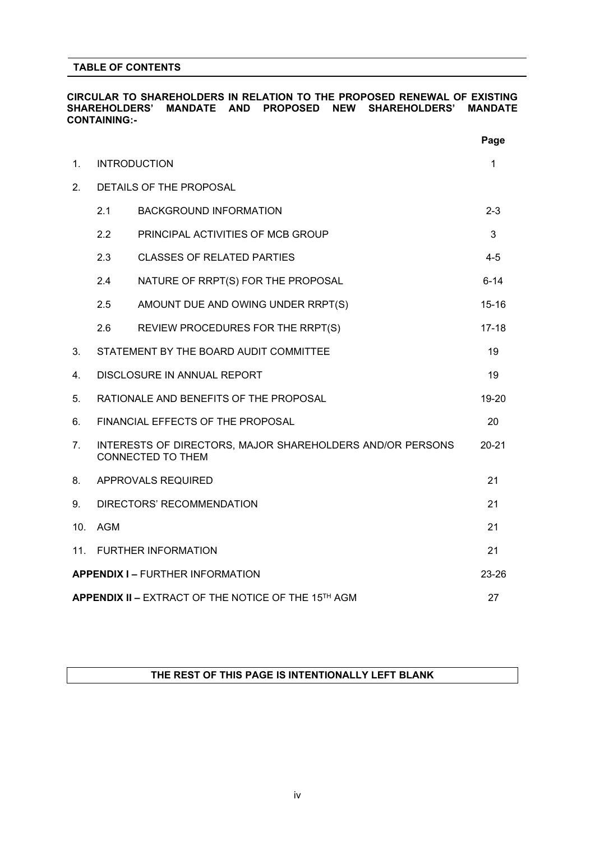# **TABLE OF CONTENTS**

# **CIRCULAR TO SHAREHOLDERS IN RELATION TO THE PROPOSED RENEWAL OF EXISTING SHAREHOLDERS' MANDATE AND PROPOSED NEW SHAREHOLDERS' MANDATE CONTAINING:-**

|                 |                                                           |                                                                                       | Page      |  |  |  |
|-----------------|-----------------------------------------------------------|---------------------------------------------------------------------------------------|-----------|--|--|--|
| 1.              |                                                           | <b>INTRODUCTION</b>                                                                   | 1         |  |  |  |
| 2.              |                                                           | DETAILS OF THE PROPOSAL                                                               |           |  |  |  |
|                 | 2.1                                                       | <b>BACKGROUND INFORMATION</b>                                                         | $2 - 3$   |  |  |  |
|                 | 2.2                                                       | PRINCIPAL ACTIVITIES OF MCB GROUP                                                     | 3         |  |  |  |
|                 | 2.3                                                       | <b>CLASSES OF RELATED PARTIES</b>                                                     | $4 - 5$   |  |  |  |
|                 | 2.4                                                       | NATURE OF RRPT(S) FOR THE PROPOSAL                                                    | $6 - 14$  |  |  |  |
|                 | 2.5                                                       | AMOUNT DUE AND OWING UNDER RRPT(S)                                                    | $15 - 16$ |  |  |  |
|                 | 2.6                                                       | REVIEW PROCEDURES FOR THE RRPT(S)                                                     | $17 - 18$ |  |  |  |
| 3.              |                                                           | STATEMENT BY THE BOARD AUDIT COMMITTEE                                                | 19        |  |  |  |
| 4.              |                                                           | DISCLOSURE IN ANNUAL REPORT                                                           | 19        |  |  |  |
| 5.              |                                                           | RATIONALE AND BENEFITS OF THE PROPOSAL                                                | 19-20     |  |  |  |
| 6.              |                                                           | FINANCIAL EFFECTS OF THE PROPOSAL                                                     | 20        |  |  |  |
| 7.              |                                                           | INTERESTS OF DIRECTORS, MAJOR SHAREHOLDERS AND/OR PERSONS<br><b>CONNECTED TO THEM</b> | $20 - 21$ |  |  |  |
| 8.              |                                                           | APPROVALS REQUIRED                                                                    | 21        |  |  |  |
| 9.              |                                                           | DIRECTORS' RECOMMENDATION                                                             | 21        |  |  |  |
| 10 <sub>1</sub> | <b>AGM</b>                                                |                                                                                       | 21        |  |  |  |
| 11 <sub>1</sub> |                                                           | <b>FURTHER INFORMATION</b>                                                            | 21        |  |  |  |
|                 |                                                           | <b>APPENDIX I - FURTHER INFORMATION</b>                                               | $23 - 26$ |  |  |  |
|                 | APPENDIX II - EXTRACT OF THE NOTICE OF THE 15TH AGM<br>27 |                                                                                       |           |  |  |  |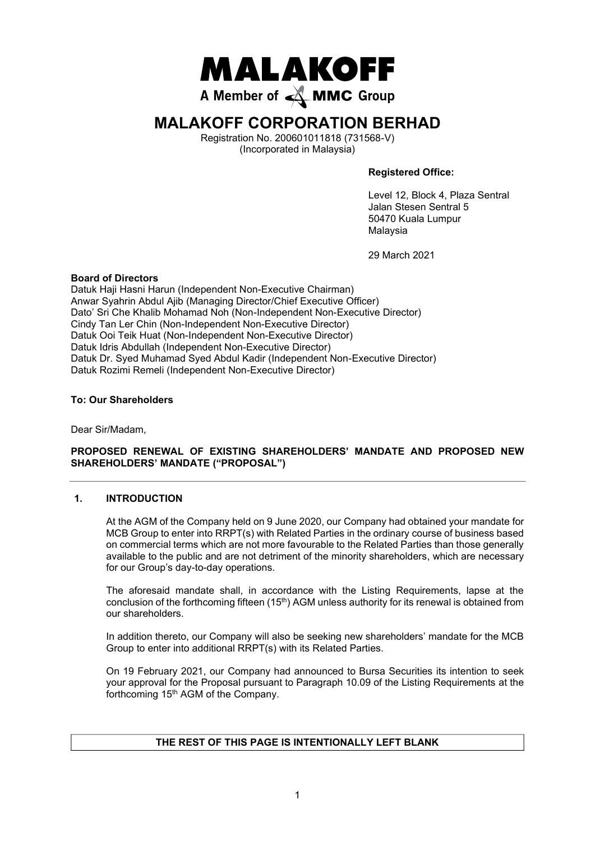

# **MALAKOFF CORPORATION BERHAD**

Registration No. 200601011818 (731568-V) (Incorporated in Malaysia)

**Registered Office:**

Level 12, Block 4, Plaza Sentral Jalan Stesen Sentral 5 50470 Kuala Lumpur Malaysia

29 March 2021

# **Board of Directors**

Datuk Haji Hasni Harun (Independent Non-Executive Chairman) Anwar Syahrin Abdul Ajib (Managing Director/Chief Executive Officer) Dato' Sri Che Khalib Mohamad Noh (Non-Independent Non-Executive Director) Cindy Tan Ler Chin (Non-Independent Non-Executive Director) Datuk Ooi Teik Huat (Non-Independent Non-Executive Director) Datuk Idris Abdullah (Independent Non-Executive Director) Datuk Dr. Syed Muhamad Syed Abdul Kadir (Independent Non-Executive Director) Datuk Rozimi Remeli (Independent Non-Executive Director)

# **To: Our Shareholders**

Dear Sir/Madam,

# **PROPOSED RENEWAL OF EXISTING SHAREHOLDERS' MANDATE AND PROPOSED NEW SHAREHOLDERS' MANDATE ("PROPOSAL")**

# **1. INTRODUCTION**

At the AGM of the Company held on 9 June 2020, our Company had obtained your mandate for MCB Group to enter into RRPT(s) with Related Parties in the ordinary course of business based on commercial terms which are not more favourable to the Related Parties than those generally available to the public and are not detriment of the minority shareholders, which are necessary for our Group's day-to-day operations.

The aforesaid mandate shall, in accordance with the Listing Requirements, lapse at the conclusion of the forthcoming fifteen  $(15<sup>th</sup>)$  AGM unless authority for its renewal is obtained from our shareholders.

In addition thereto, our Company will also be seeking new shareholders' mandate for the MCB Group to enter into additional RRPT(s) with its Related Parties.

On 19 February 2021, our Company had announced to Bursa Securities its intention to seek your approval for the Proposal pursuant to Paragraph 10.09 of the Listing Requirements at the forthcoming 15th AGM of the Company.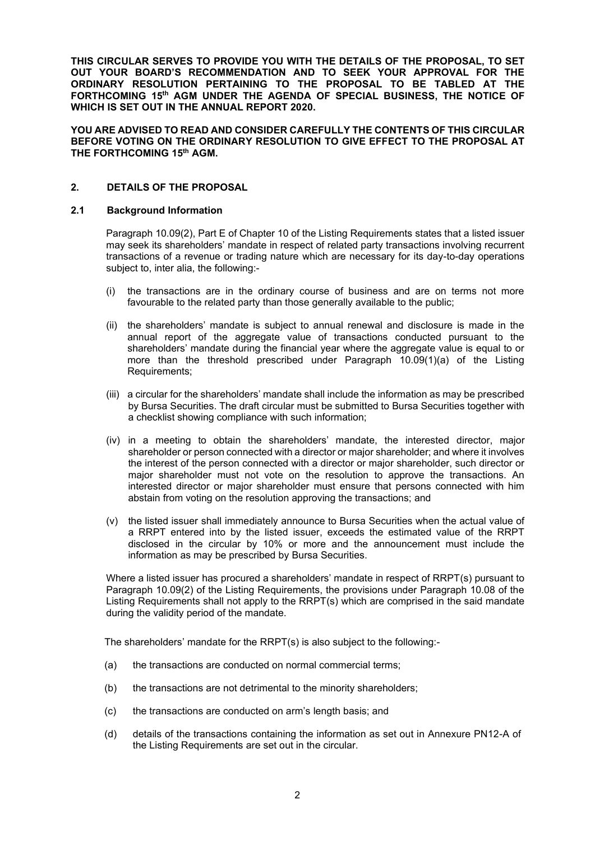**THIS CIRCULAR SERVES TO PROVIDE YOU WITH THE DETAILS OF THE PROPOSAL, TO SET OUT YOUR BOARD'S RECOMMENDATION AND TO SEEK YOUR APPROVAL FOR THE ORDINARY RESOLUTION PERTAINING TO THE PROPOSAL TO BE TABLED AT THE FORTHCOMING 15th AGM UNDER THE AGENDA OF SPECIAL BUSINESS, THE NOTICE OF WHICH IS SET OUT IN THE ANNUAL REPORT 2020.**

**YOU ARE ADVISED TO READ AND CONSIDER CAREFULLY THE CONTENTS OF THIS CIRCULAR BEFORE VOTING ON THE ORDINARY RESOLUTION TO GIVE EFFECT TO THE PROPOSAL AT THE FORTHCOMING 15th AGM.**

# **2. DETAILS OF THE PROPOSAL**

# **2.1 Background Information**

Paragraph 10.09(2), Part E of Chapter 10 of the Listing Requirements states that a listed issuer may seek its shareholders' mandate in respect of related party transactions involving recurrent transactions of a revenue or trading nature which are necessary for its day-to-day operations subject to, inter alia, the following:-

- (i) the transactions are in the ordinary course of business and are on terms not more favourable to the related party than those generally available to the public;
- (ii) the shareholders' mandate is subject to annual renewal and disclosure is made in the annual report of the aggregate value of transactions conducted pursuant to the shareholders' mandate during the financial year where the aggregate value is equal to or more than the threshold prescribed under Paragraph 10.09(1)(a) of the Listing Requirements;
- (iii) a circular for the shareholders' mandate shall include the information as may be prescribed by Bursa Securities. The draft circular must be submitted to Bursa Securities together with a checklist showing compliance with such information;
- (iv) in a meeting to obtain the shareholders' mandate, the interested director, major shareholder or person connected with a director or major shareholder; and where it involves the interest of the person connected with a director or major shareholder, such director or major shareholder must not vote on the resolution to approve the transactions. An interested director or major shareholder must ensure that persons connected with him abstain from voting on the resolution approving the transactions; and
- (v) the listed issuer shall immediately announce to Bursa Securities when the actual value of a RRPT entered into by the listed issuer, exceeds the estimated value of the RRPT disclosed in the circular by 10% or more and the announcement must include the information as may be prescribed by Bursa Securities.

Where a listed issuer has procured a shareholders' mandate in respect of RRPT(s) pursuant to Paragraph 10.09(2) of the Listing Requirements, the provisions under Paragraph 10.08 of the Listing Requirements shall not apply to the RRPT(s) which are comprised in the said mandate during the validity period of the mandate.

The shareholders' mandate for the RRPT(s) is also subject to the following:-

- (a) the transactions are conducted on normal commercial terms;
- (b) the transactions are not detrimental to the minority shareholders;
- (c) the transactions are conducted on arm's length basis; and
- (d) details of the transactions containing the information as set out in Annexure PN12-A of the Listing Requirements are set out in the circular.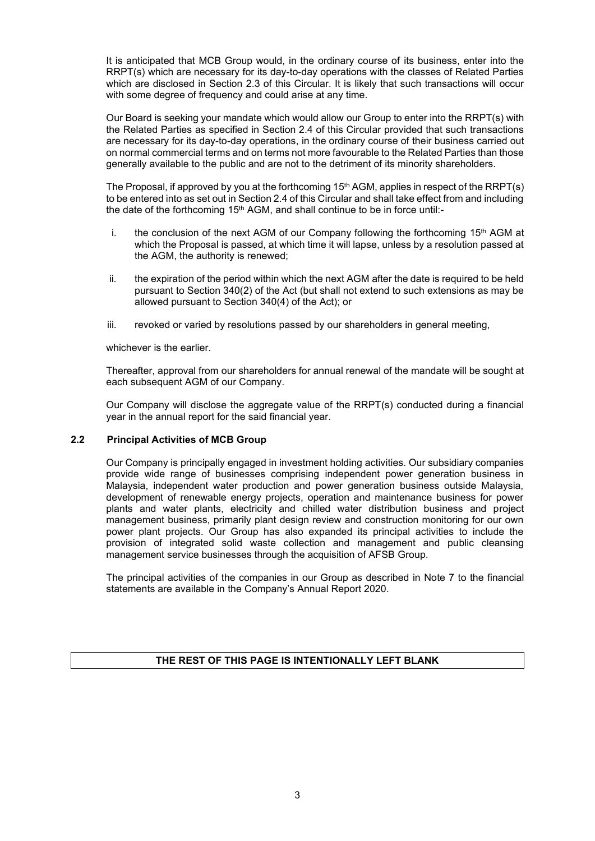It is anticipated that MCB Group would, in the ordinary course of its business, enter into the RRPT(s) which are necessary for its day-to-day operations with the classes of Related Parties which are disclosed in Section 2.3 of this Circular. It is likely that such transactions will occur with some degree of frequency and could arise at any time.

Our Board is seeking your mandate which would allow our Group to enter into the RRPT(s) with the Related Parties as specified in Section 2.4 of this Circular provided that such transactions are necessary for its day-to-day operations, in the ordinary course of their business carried out on normal commercial terms and on terms not more favourable to the Related Parties than those generally available to the public and are not to the detriment of its minority shareholders.

The Proposal, if approved by you at the forthcoming 15<sup>th</sup> AGM, applies in respect of the RRPT(s) to be entered into as set out in Section 2.4 of this Circular and shall take effect from and including the date of the forthcoming 15<sup>th</sup> AGM, and shall continue to be in force until:-

- i. the conclusion of the next AGM of our Company following the forthcoming  $15<sup>th</sup>$  AGM at which the Proposal is passed, at which time it will lapse, unless by a resolution passed at the AGM, the authority is renewed;
- ii. the expiration of the period within which the next AGM after the date is required to be held pursuant to Section 340(2) of the Act (but shall not extend to such extensions as may be allowed pursuant to Section 340(4) of the Act); or
- iii. revoked or varied by resolutions passed by our shareholders in general meeting,

whichever is the earlier.

Thereafter, approval from our shareholders for annual renewal of the mandate will be sought at each subsequent AGM of our Company.

Our Company will disclose the aggregate value of the RRPT(s) conducted during a financial year in the annual report for the said financial year.

# **2.2 Principal Activities of MCB Group**

Our Company is principally engaged in investment holding activities. Our subsidiary companies provide wide range of businesses comprising independent power generation business in Malaysia, independent water production and power generation business outside Malaysia, development of renewable energy projects, operation and maintenance business for power plants and water plants, electricity and chilled water distribution business and project management business, primarily plant design review and construction monitoring for our own power plant projects. Our Group has also expanded its principal activities to include the provision of integrated solid waste collection and management and public cleansing management service businesses through the acquisition of AFSB Group.

The principal activities of the companies in our Group as described in Note 7 to the financial statements are available in the Company's Annual Report 2020.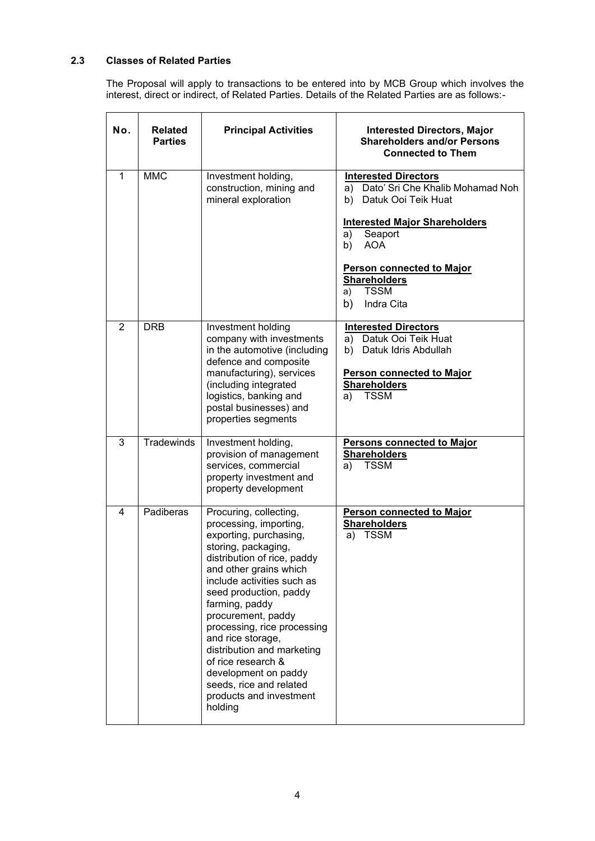# **2.3 Classes of Related Parties**

The Proposal will apply to transactions to be entered into by MCB Group which involves the interest, direct or indirect, of Related Parties. Details of the Related Parties are as follows:-

| No. | <b>Related</b><br><b>Parties</b> | <b>Principal Activities</b>                                                                                                                                                                                                                                                                                                                                                                                                                                 | <b>Interested Directors, Major</b><br><b>Shareholders and/or Persons</b><br><b>Connected to Them</b>                                                                                                                                                                             |
|-----|----------------------------------|-------------------------------------------------------------------------------------------------------------------------------------------------------------------------------------------------------------------------------------------------------------------------------------------------------------------------------------------------------------------------------------------------------------------------------------------------------------|----------------------------------------------------------------------------------------------------------------------------------------------------------------------------------------------------------------------------------------------------------------------------------|
| 1   | <b>MMC</b>                       | Investment holding,<br>construction, mining and<br>mineral exploration                                                                                                                                                                                                                                                                                                                                                                                      | <b>Interested Directors</b><br>Dato' Sri Che Khalib Mohamad Noh<br>a)<br>b) Datuk Ooi Teik Huat<br><b>Interested Major Shareholders</b><br>Seaport<br>a)<br>b)<br><b>AOA</b><br><b>Person connected to Major</b><br><b>Shareholders</b><br><b>TSSM</b><br>a)<br>b)<br>Indra Cita |
| 2   | <b>DRB</b>                       | Investment holding<br>company with investments<br>in the automotive (including<br>defence and composite<br>manufacturing), services<br>(including integrated<br>logistics, banking and<br>postal businesses) and<br>properties segments                                                                                                                                                                                                                     | <b>Interested Directors</b><br>a) Datuk Ooi Teik Huat<br>b) Datuk Idris Abdullah<br><b>Person connected to Major</b><br><b>Shareholders</b><br><b>TSSM</b><br>a)                                                                                                                 |
| 3   | <b>Tradewinds</b>                | Investment holding,<br>provision of management<br>services, commercial<br>property investment and<br>property development                                                                                                                                                                                                                                                                                                                                   | <b>Persons connected to Major</b><br><b>Shareholders</b><br><b>TSSM</b><br>a)                                                                                                                                                                                                    |
| 4   | Padiberas                        | Procuring, collecting,<br>processing, importing,<br>exporting, purchasing,<br>storing, packaging,<br>distribution of rice, paddy<br>and other grains which<br>include activities such as<br>seed production, paddy<br>farming, paddy<br>procurement, paddy<br>processing, rice processing<br>and rice storage,<br>distribution and marketing<br>of rice research &<br>development on paddy<br>seeds, rice and related<br>products and investment<br>holding | <b>Person connected to Major</b><br><b>Shareholders</b><br><b>TSSM</b><br>a)                                                                                                                                                                                                     |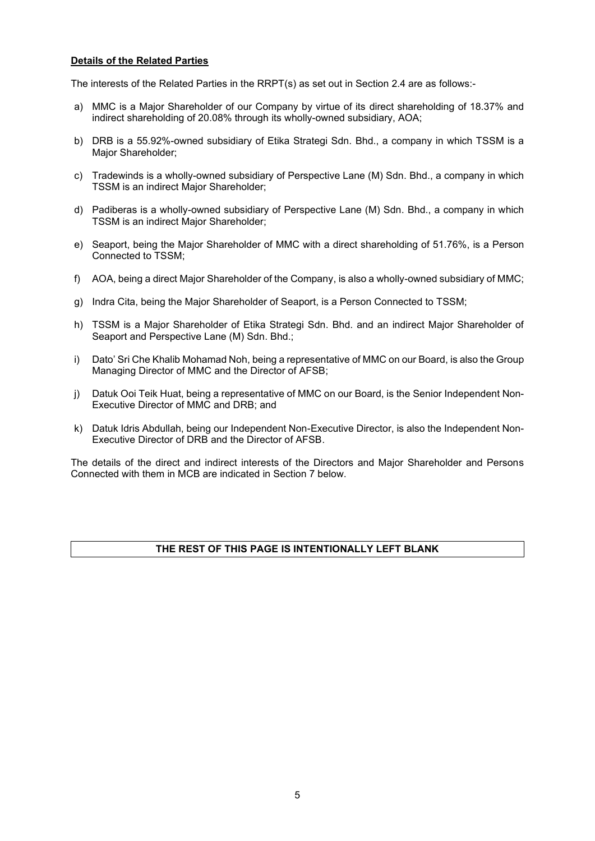# **Details of the Related Parties**

The interests of the Related Parties in the RRPT(s) as set out in Section 2.4 are as follows:-

- a) MMC is a Major Shareholder of our Company by virtue of its direct shareholding of 18.37% and indirect shareholding of 20.08% through its wholly-owned subsidiary, AOA;
- b) DRB is a 55.92%-owned subsidiary of Etika Strategi Sdn. Bhd., a company in which TSSM is a Major Shareholder;
- c) Tradewinds is a wholly-owned subsidiary of Perspective Lane (M) Sdn. Bhd., a company in which TSSM is an indirect Major Shareholder;
- d) Padiberas is a wholly-owned subsidiary of Perspective Lane (M) Sdn. Bhd., a company in which TSSM is an indirect Major Shareholder;
- e) Seaport, being the Major Shareholder of MMC with a direct shareholding of 51.76%, is a Person Connected to TSSM;
- f) AOA, being a direct Major Shareholder of the Company, is also a wholly-owned subsidiary of MMC;
- g) Indra Cita, being the Major Shareholder of Seaport, is a Person Connected to TSSM;
- h) TSSM is a Major Shareholder of Etika Strategi Sdn. Bhd. and an indirect Major Shareholder of Seaport and Perspective Lane (M) Sdn. Bhd.;
- i) Dato' Sri Che Khalib Mohamad Noh, being a representative of MMC on our Board, is also the Group Managing Director of MMC and the Director of AFSB;
- j) Datuk Ooi Teik Huat, being a representative of MMC on our Board, is the Senior Independent Non-Executive Director of MMC and DRB; and
- k) Datuk Idris Abdullah, being our Independent Non-Executive Director, is also the Independent Non-Executive Director of DRB and the Director of AFSB.

The details of the direct and indirect interests of the Directors and Major Shareholder and Persons Connected with them in MCB are indicated in Section 7 below.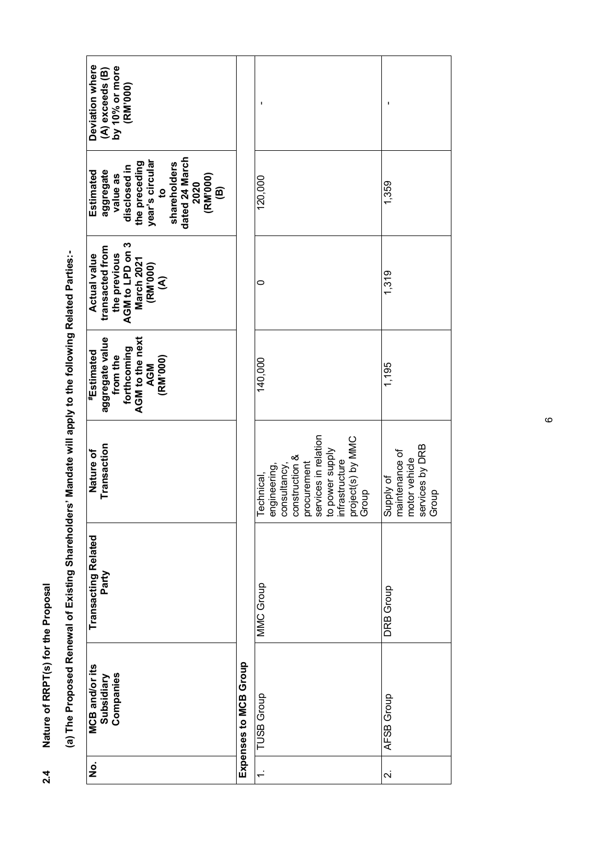|   | Deviation where<br>(A) exceeds (B)<br>by 10% or more<br>(RM'000)                                                                                                  |                       |                                                                                                                                                                        |                                                                          |
|---|-------------------------------------------------------------------------------------------------------------------------------------------------------------------|-----------------------|------------------------------------------------------------------------------------------------------------------------------------------------------------------------|--------------------------------------------------------------------------|
|   | dated 24 March<br>year's circular<br>the preceding<br>shareholders<br>disclosed in<br>aggregate<br>Estimated<br>2020<br>(RM'000)<br>value as<br>©<br>$\mathbf{S}$ |                       | 120,000                                                                                                                                                                | 1,359                                                                    |
|   | the previous<br>AGM to LPD on 3<br>transacted from<br><b>Actual value</b><br>March 2021<br>(RM'000)<br>$\mathfrak{S}$                                             |                       | 0                                                                                                                                                                      | 1,319                                                                    |
| ŋ | aggregate value<br>from the<br>AGM to the next<br>forthcoming<br><b><i><b>*Estimated</b></i></b><br>(RM'000)<br><b>AGM</b>                                        |                       | 140,000                                                                                                                                                                | 1,195                                                                    |
|   | Transaction<br>Nature of                                                                                                                                          |                       | services in relation<br>to power supply<br>infrastructure<br>project(s) by MMC<br>Group<br>construction &<br>procurement<br>engineering,<br>consultancy,<br>Technical, | services by DRB<br>Supply of<br>maintenance of<br>motor vehicle<br>Group |
|   | <b>Transacting Related</b><br>Party                                                                                                                               |                       | MMC Group                                                                                                                                                              | <b>DRB</b> Group                                                         |
|   | <b>MCB and/or its</b><br>Companies<br>Subsidiary                                                                                                                  | Expenses to MCB Group | <b>TUSB Group</b>                                                                                                                                                      | AFSB Group                                                               |
|   | $\dot{\mathbf{z}}$                                                                                                                                                |                       | $\div$                                                                                                                                                                 | $\overline{\mathsf{N}}$                                                  |

(a) The Proposed Renewal of Existing Shareholders' Mandate will apply to the following Related Parties:-**(a) The Proposed Renewal of Existing Shareholders' Mandate will apply to the following Related Parties:-**

**2.4 Nature of RRPT(s) for the Proposal**

 $2.4$ 

Nature of RRPT(s) for the Proposal

 $\circ$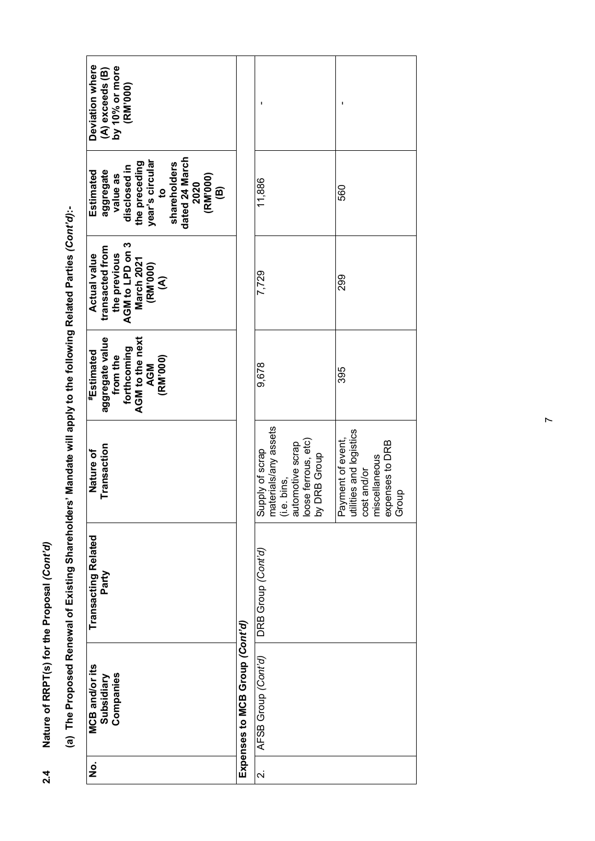| Deviation where<br>$(A)$ exceeds $(B)$<br>by 10% or more<br>(RM'000)                                                                                              |                                |                                                                                                                   |                                                                                                          |
|-------------------------------------------------------------------------------------------------------------------------------------------------------------------|--------------------------------|-------------------------------------------------------------------------------------------------------------------|----------------------------------------------------------------------------------------------------------|
| dated 24 March<br>year's circular<br>the preceding<br>shareholders<br>disclosed in<br>aggregate<br>Estimated<br>(RM'000)<br>value as<br>2020<br>©<br>$\mathbf{S}$ |                                | 11,886                                                                                                            | 560                                                                                                      |
| AGM to LPD on 3<br>March 2021<br>transacted from<br>the previous<br><b>Actual value</b><br>(RM'000)<br>$\widehat{\mathcal{E}}$                                    |                                | 7,729                                                                                                             | 299                                                                                                      |
| aggregate value<br>forthcoming<br>AGM to the next<br>#Estimated<br>from the<br>(RM'000)<br><b>AGM</b>                                                             |                                | 9,678                                                                                                             | 395                                                                                                      |
| Transaction<br>Nature of                                                                                                                                          |                                | Supply of scrap<br>materials/any assets<br>(i.e. bins,<br>automotive scrap<br>loose ferrous, etc)<br>by DRB Group | Payment of event,<br>utilities and logistics<br>expenses to DRB<br>Group<br>miscellaneous<br>cost and/or |
| Transacting Related<br>Party                                                                                                                                      |                                | DRB Group <i>(Cont'd)</i>                                                                                         |                                                                                                          |
| <b>MCB</b> and/or its<br>Companies<br>Subsidiary                                                                                                                  | Expenses to MCB Group (Cont'd) | AFSB Group (Cont'd)                                                                                               |                                                                                                          |
| ġ                                                                                                                                                                 |                                | $\overline{\mathsf{N}}$                                                                                           |                                                                                                          |

**(a) The Proposed Renewal of Existing Shareholders' Mandate will apply to the following Related Parties** *(Cont'd)***:** the following Pelated Parties (Cont'd): ct vill opply to  $\frac{1}{2}$ Idore<sup>3</sup> Man Ī ewal of Fxisting Sha (a) The Proposed Rep

**2.4 Nature of RRPT(s) for the Proposal** *(Cont'd)*

 $2.4$ 

Nature of RRPT(s) for the Proposal (Cont'd)

 $\overline{r}$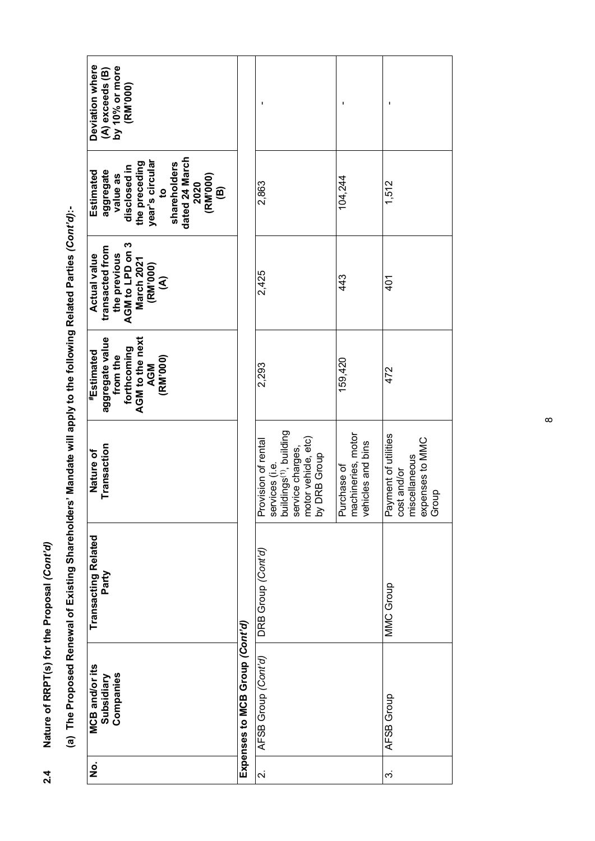|                                                                                                                   | Deviation where<br>(A) exceeds (B)<br>by 10% or more<br>(RM'000)                                                                                                  |                                |                                                                                                                                                                   |                                                        |                                                                                  |
|-------------------------------------------------------------------------------------------------------------------|-------------------------------------------------------------------------------------------------------------------------------------------------------------------|--------------------------------|-------------------------------------------------------------------------------------------------------------------------------------------------------------------|--------------------------------------------------------|----------------------------------------------------------------------------------|
|                                                                                                                   | dated 24 March<br>year's circular<br>the preceding<br>shareholders<br>disclosed in<br>aggregate<br>Estimated<br>(RM'000)<br>value as<br>2020<br>$\mathbf{S}$<br>ê |                                | 2,863                                                                                                                                                             | 104,244                                                | 1,512                                                                            |
|                                                                                                                   | AGM to LPD on 3<br>transacted from<br>the previous<br><b>Actual value</b><br><b>March 2021</b><br>(RM'000)<br>$\widehat{\mathcal{E}}$                             |                                | 2,425                                                                                                                                                             | 443                                                    | 401                                                                              |
|                                                                                                                   | aggregate value<br>AGM to the next<br>forthcoming<br>#Estimated<br>from the<br>(RM'000)<br><b>AGM</b>                                                             |                                | 2,293                                                                                                                                                             | 159,420                                                | 472                                                                              |
|                                                                                                                   | Transaction<br>Nature of                                                                                                                                          |                                | buildings <sup>(1)</sup> , building<br>motor vehicle, etc)<br>Provision of rental<br>service charges,<br><b>DRB Group</b><br>vices (i.e.<br>ser<br>$\overline{S}$ | machineries, motor<br>vehicles and bins<br>Purchase of | Payment of utilities<br>expenses to MMC<br>Group<br>miscellaneous<br>cost and/or |
| (a) The Proposed Renewal of Existing Shareholders' Mandate will apply to the following Related Parties (Cont'd):- | <b>Transacting Related</b><br>Party                                                                                                                               |                                | DRB Group (Cont'd)                                                                                                                                                |                                                        | MMC Group                                                                        |
|                                                                                                                   | <b>MCB</b> and/or its<br>Companies<br>Subsidiary                                                                                                                  | Expenses to MCB Group (Cont'd) | AFSB Group (Cont'd)                                                                                                                                               |                                                        | AFSB Group                                                                       |
|                                                                                                                   | $\dot{\mathbf{z}}$                                                                                                                                                |                                | $\overline{\mathsf{N}}$                                                                                                                                           |                                                        | က                                                                                |

 $\infty$ 

# Nature of RRPT(s) for the Proposal (Cont'd) **2.4 Nature of RRPT(s) for the Proposal** *(Cont'd)*  $2.4$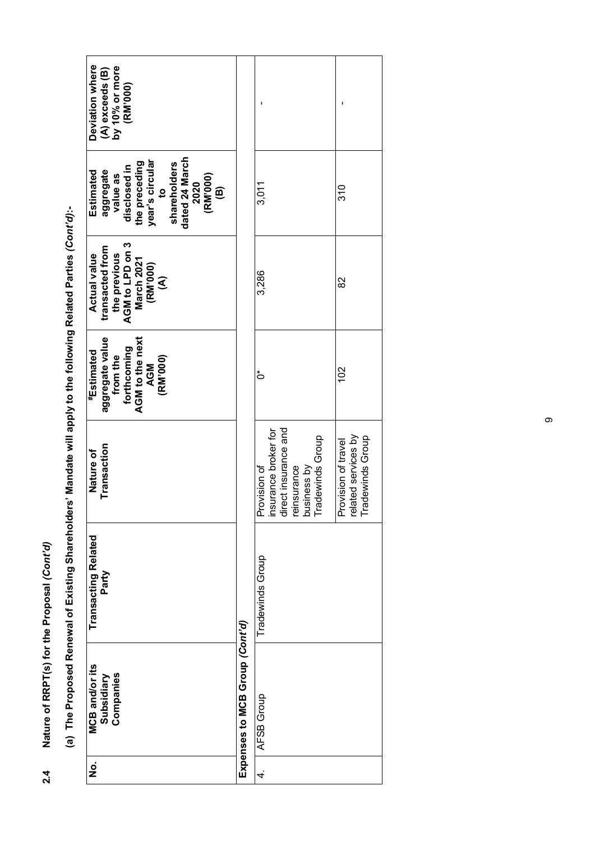| Transacting Related<br>Tradewinds Group<br>Party<br>Expenses to MCB Group (Cont'd)<br><b>MCB</b> and/or its<br>Companies<br>Subsidiary<br>AFSB Group | Deviation where<br>(A) exceeds (B)<br>by 10% or more<br>(RM'000)<br>dated 24 March<br>year's circular<br>the preceding<br>shareholders<br>disclosed in<br>aggregate<br>Estimated<br>(RM'000)<br>value as<br>2020<br>$\overline{5}$<br>$\widehat{\mathbf{e}}$<br>AGM to LPD on 3<br>transacted from<br>the previous<br><b>Actual value</b><br><b>March 2021</b><br>(RM'000)<br>$\widehat{\mathcal{E}}$<br>aggregate value<br>AGM to the next<br>forthcoming<br><b><i><b>Estimated</b></i></b><br>from the<br>(RM'000)<br><b>AGM</b><br>Transaction<br>Nature of | 3,011<br>3,286<br>៎<br>Provision of<br>insurance broker for<br>direct insurance and<br>reinsurance<br>business by<br>I Tradewinds Group | $\frac{1}{3}$<br>82<br>$\approx$<br>Provision of travel<br>related services by<br>Tradewinds Group |
|------------------------------------------------------------------------------------------------------------------------------------------------------|----------------------------------------------------------------------------------------------------------------------------------------------------------------------------------------------------------------------------------------------------------------------------------------------------------------------------------------------------------------------------------------------------------------------------------------------------------------------------------------------------------------------------------------------------------------|-----------------------------------------------------------------------------------------------------------------------------------------|----------------------------------------------------------------------------------------------------|
|                                                                                                                                                      |                                                                                                                                                                                                                                                                                                                                                                                                                                                                                                                                                                |                                                                                                                                         |                                                                                                    |
|                                                                                                                                                      | $\dot{\mathbf{z}}$                                                                                                                                                                                                                                                                                                                                                                                                                                                                                                                                             | 4.                                                                                                                                      |                                                                                                    |

**(a) The Proposed Renewal of Existing Shareholders' Mandate will apply to the following Related Parties** *(Cont'd)***:** the following Pelated Parties (Cont'd): will apply to **Cidare Manazione** (a) The Proposed Repewal of Existing Sha

**2.4 Nature of RRPT(s) for the Proposal** *(Cont'd)*

 $2.4$ 

Nature of RRPT(s) for the Proposal (Cont'd)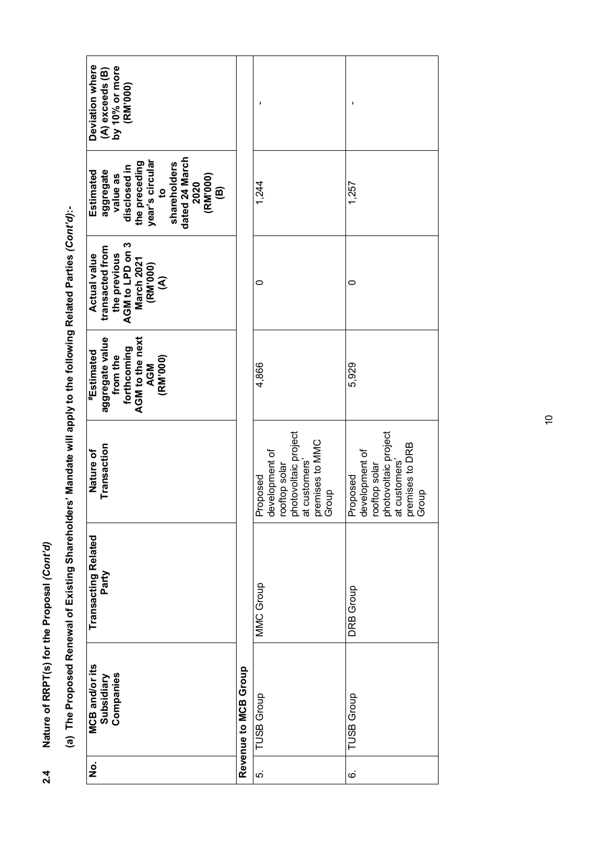|   | Deviation where<br>(A) exceeds (B)<br>by 10% or more<br>(RM'000)                                                                                                    |                      |                                                                                                                  |                                                                                                                  |
|---|---------------------------------------------------------------------------------------------------------------------------------------------------------------------|----------------------|------------------------------------------------------------------------------------------------------------------|------------------------------------------------------------------------------------------------------------------|
|   | dated 24 March<br>year's circular<br>the preceding<br>shareholders<br>disclosed in<br>aggregate<br>value as<br>Estimated<br>(RM'000)<br>(B)<br>2020<br>$\mathbf{c}$ |                      | 1,244                                                                                                            | 1,257                                                                                                            |
|   | AGM to LPD on 3<br>transacted from<br><b>Actual value</b><br>the previous<br>March 2021<br>(RM'000)<br>$\widehat{\mathcal{E}}$                                      |                      | 0                                                                                                                | 0                                                                                                                |
|   | aggregate value<br>AGM to the next<br>forthcoming<br>#Estimated<br>from the<br>(RM'000)<br>AGM                                                                      |                      | 4,866                                                                                                            | 5,929                                                                                                            |
|   | Transaction<br>Nature of                                                                                                                                            |                      | rooftop solar<br>photovoltaic project<br>at customers'<br>premises to MMC<br>Group<br>Proposed<br>development of | rooftop solar<br>photovoltaic project<br>at customers'<br>premises to DRB<br>Group<br>Proposed<br>development of |
|   | Transacting Related<br>Party                                                                                                                                        |                      | MMC Group                                                                                                        | <b>DRB Group</b>                                                                                                 |
| j | <b>MCB</b> and/or its<br>Companies<br>Subsidiary                                                                                                                    | Revenue to MCB Group | <b>TUSB Group</b>                                                                                                | <b>TUSB Group</b>                                                                                                |
|   | $\dot{\mathbf{z}}$                                                                                                                                                  |                      | ιó.                                                                                                              | $\dot{\circ}$                                                                                                    |

(a) The Proposed Renewal of Existing Shareholders' Mandate will apply to the following Related Parties (Cont'd):-**(a) The Proposed Renewal of Existing Shareholders' Mandate will apply to the following Related Parties** *(Cont'd)***:-**

**2.4 Nature of RRPT(s) for the Proposal** *(Cont'd)*

 $2.4$ 

Nature of RRPT(s) for the Proposal (Cont'd)

 $\tilde{a}$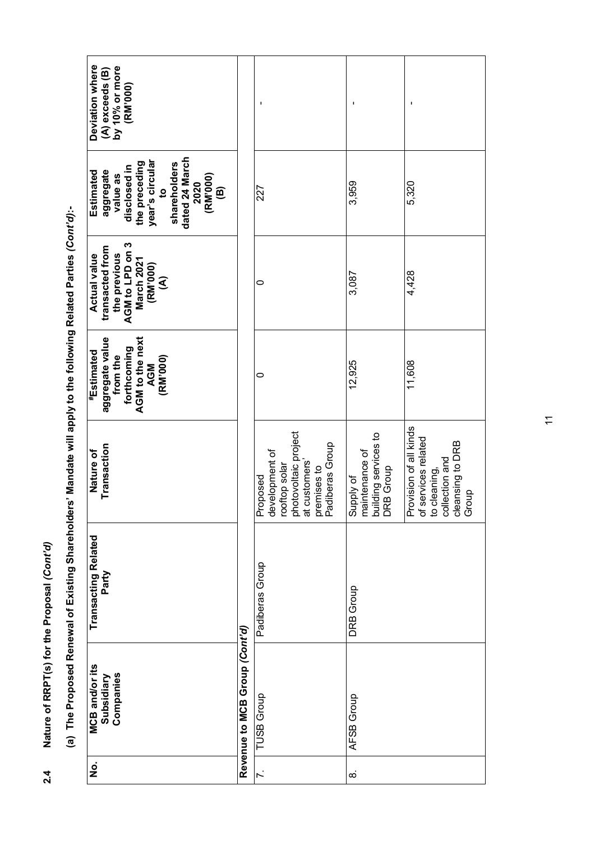| Deviation where<br>(A) exceeds (B)<br>by 10% or more<br>(RM'000)                                                                                                                       |                               |                                                                                                                        | ı                                                                |                                                                                                                    |
|----------------------------------------------------------------------------------------------------------------------------------------------------------------------------------------|-------------------------------|------------------------------------------------------------------------------------------------------------------------|------------------------------------------------------------------|--------------------------------------------------------------------------------------------------------------------|
| dated 24 March<br>year's circular<br>the preceding<br>shareholders<br>disclosed in<br>aggregate<br>Estimated<br>(RM'000)<br>value as<br>2020<br>$\widehat{\mathbf{e}}$<br>$\mathbf{a}$ |                               | 227                                                                                                                    | 3,959                                                            | 5,320                                                                                                              |
| S<br>transacted from<br>AGM to LPD on<br>the previous<br><b>Actual value</b><br><b>March 2021</b><br>(RM'000)<br>$\mathfrak{S}$                                                        |                               | 0                                                                                                                      | 3,087                                                            | 4,428                                                                                                              |
| aggregate value<br>AGM to the next<br>forthcoming<br><b><i><b>Estimated</b></i></b><br>from the<br>(RM'000)<br><b>AGM</b>                                                              |                               | 0                                                                                                                      | 12,925                                                           | 11,608                                                                                                             |
| Transaction<br>Nature of                                                                                                                                                               |                               | rooftop solar<br>photovoltaic project<br>at customers'<br>premises to<br>Padiberas Group<br>Proposed<br>development of | maintenance of<br>building services to<br>DRB Group<br>Supply of | Provision of all kinds<br>of services related<br>to cleaning,<br>  collection and<br>  cleansing to DRB<br>  Group |
| <b>Transacting Related</b><br>Party                                                                                                                                                    |                               | Padiberas Group                                                                                                        | <b>DRB</b> Group                                                 |                                                                                                                    |
| <b>MCB</b> and/or its<br>Companies<br>Subsidiary                                                                                                                                       | Revenue to MCB Group (Cont'd) | <b>TUSB</b> Group                                                                                                      | AFSB Group                                                       |                                                                                                                    |
| ġ                                                                                                                                                                                      |                               | $\ddot{\sim}$                                                                                                          | $\infty$                                                         |                                                                                                                    |

(a) The Proposed Renewal of Existing Shareholders' Mandate will apply to the following Related Parties (Cont'd):-**(a) The Proposed Renewal of Existing Shareholders' Mandate will apply to the following Related Parties** *(Cont'd)***:-**

**2.4 Nature of RRPT(s) for the Proposal** *(Cont'd)*

 $2.4$ 

Nature of RRPT(s) for the Proposal (Cont'd)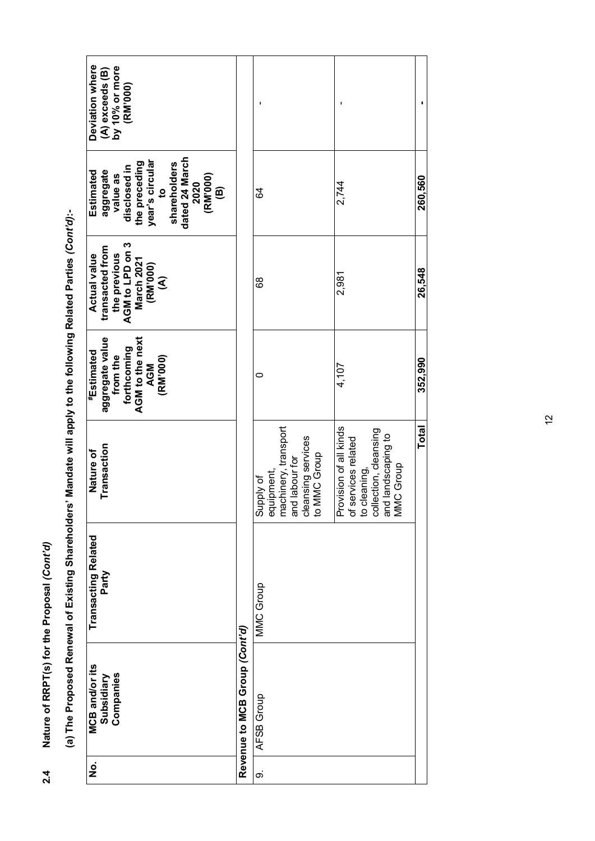| Deviation where<br>$(A)$ exceeds $(B)$<br>by 10% or more<br>(RM'000)                                                                                                         |                               |                                                                                                         |                                                                                                                                      |              |
|------------------------------------------------------------------------------------------------------------------------------------------------------------------------------|-------------------------------|---------------------------------------------------------------------------------------------------------|--------------------------------------------------------------------------------------------------------------------------------------|--------------|
| dated 24 March<br>year's circular<br>to<br>the preceding<br>shareholders<br>disclosed in<br>aggregate<br>Estimated<br>(RM'000)<br>value as<br>2020<br>$\widehat{\mathbf{e}}$ |                               | 64                                                                                                      | 2,744                                                                                                                                | 260,560      |
| AGM to LPD on 3<br>March 2021<br>transacted from<br><b>Actual value</b><br>the previous<br>(RM'000)<br>$\widehat{\mathbf{S}}$                                                |                               | 68                                                                                                      | 2,981                                                                                                                                | 26,548       |
| aggregate value<br>AGM to the next<br>forthcoming<br>#Estimated<br>from the<br>(RM'000)<br><b>AGM</b>                                                                        |                               | 0                                                                                                       | 4,107                                                                                                                                | 352,990      |
| Transaction<br>Nature of                                                                                                                                                     |                               | machinery, transport<br>and labour for<br>cleansing services<br>to MMC Group<br>equipment,<br>Supply of | Provision of all kinds<br>of services related<br>to cleaning,<br>collection, cleansing<br>and landscaping to<br>MMC Group<br>C Group | <b>Total</b> |
| Transacting Related<br>Party                                                                                                                                                 |                               | MMC Group                                                                                               |                                                                                                                                      |              |
| <b>MCB</b> and/or its<br>Companies<br>Subsidiary                                                                                                                             | Revenue to MCB Group (Cont'd) | AFSB Group                                                                                              |                                                                                                                                      |              |
| $\dot{\mathbf{z}}$                                                                                                                                                           |                               | တဲ                                                                                                      |                                                                                                                                      |              |

(a) The Proposed Renewal of Existing Shareholders' Mandate will apply to the following Related Parties (Cont'd):-**(a) The Proposed Renewal of Existing Shareholders' Mandate will apply to the following Related Parties** *(Cont'd)***:-**

**2.4 Nature of RRPT(s) for the Proposal** *(Cont'd)*

 $2.4$ 

Nature of RRPT(s) for the Proposal (Cont'd)

 $\frac{1}{2}$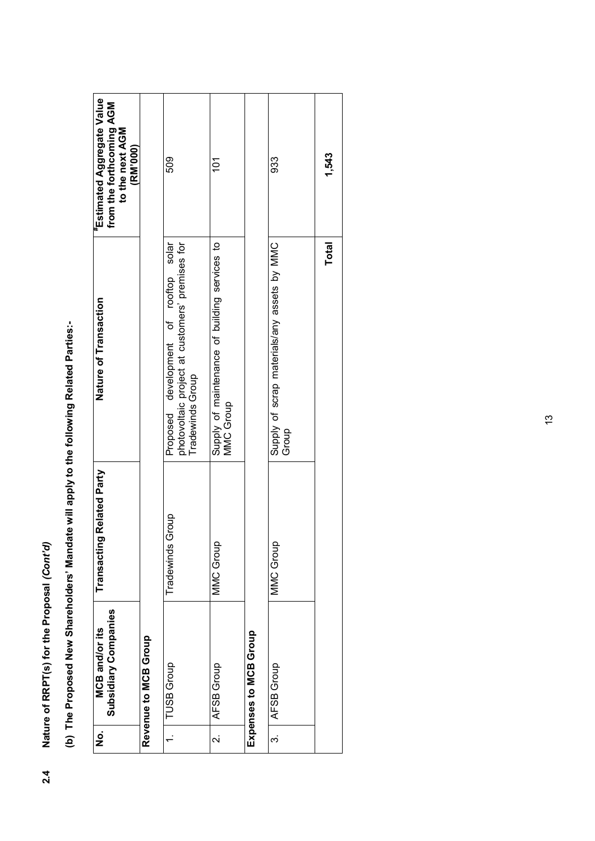Nature of RRPT(s) for the Proposal (Cont'd) **2.4 Nature of RRPT(s) for the Proposal** *(Cont'd)*  $2.4$ 

(b) The Proposed New Shareholders' Mandate will apply to the following Related Parties:-**(b) The Proposed New Shareholders' Mandate will apply to the following Related Parties:-** 

| Estimated Aggregate Value<br>from the forthcoming AGM<br>to the next AGM<br>(RM'000) |                      | 509                                                                                                             | 101                                                               |                       | 933                                                  | 1,543        |
|--------------------------------------------------------------------------------------|----------------------|-----------------------------------------------------------------------------------------------------------------|-------------------------------------------------------------------|-----------------------|------------------------------------------------------|--------------|
| Nature of Transaction                                                                |                      | photovoltaic project at customers' premises for<br>development of rooftop solar<br>Tradewinds Group<br>Proposed | Supply of maintenance of building services to<br><b>MMC Group</b> |                       | Supply of scrap materials/any assets by MMC<br>Group | <b>Total</b> |
| Ig Related Party<br>Transacti                                                        |                      | Group<br>Tradewinds                                                                                             | MMC Group                                                         |                       | MMC Group                                            |              |
| Subsidiary Companies<br><b>MCB</b> and/or its                                        | Revenue to MCB Group | <b>TUSB Group</b>                                                                                               | AFSB Group                                                        | Expenses to MCB Group | AFSB Group                                           |              |
| .<br>2                                                                               |                      |                                                                                                                 | نہ<br>                                                            |                       | က                                                    |              |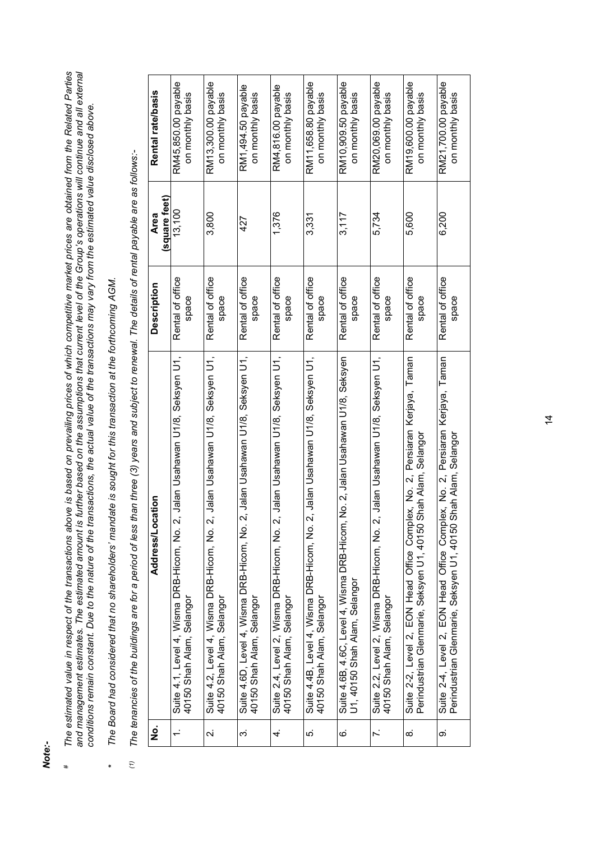*Note:-*

*#*

- The estimated value in respect of the transactions above is based on prevailing prices of which competitive market prices are obtained from the Related Parties<br>and management estimates. The estimated amount is further base *The estimated value in respect of the transactions above is based on prevailing prices of which competitive market prices are obtained from the Related Parties*  and management estimates. The estimated amount is further based on the assumptions that current level of the Group's operations will continue and all external *conditions remain constant. Due to the nature of the transactions, the actual value of the transactions may vary from the estimated value disclosed above.*
- The Board had considered that no shareholders' mandate is sought for this transaction at the forthcoming AGM. *The Board had considered that no shareholders' mandate is sought for this transaction at the forthcoming AGM. \**
- The tenancies of the buildings are for a period of less than three (3) years and subject to renewal. The details of rental payable are as follows:-*(1) The tenancies of the buildings are for a period of less than three (3) years and subject to renewal. The details of rental payable are as follows:-*  $\hat{c}$

| <u>ş</u>                | ation<br>Address/Loc                                                                                                                                      | <b>Description</b>        | (square feet)<br>Area | Rental rate/basis                       |
|-------------------------|-----------------------------------------------------------------------------------------------------------------------------------------------------------|---------------------------|-----------------------|-----------------------------------------|
| $\div$                  | , Jalan Usahawan U1/8, Seksyen U1,<br>Suite 4.1, Level 4, Wisma DRB-Hicom, No. 2<br>40150 Shah Alam, Selangor                                             | Rental of office<br>space | 13,100                | RM45,850.00 payable<br>on monthly basis |
| $\overline{\mathsf{N}}$ | , Jalan Usahawan U1/8, Seksyen U1,<br>Suite 4.2, Level 4, Wisma DRB-Hicom, No. 2<br>40150 Shah Alam, Selangor                                             | Rental of office<br>space | 3,800                 | RM13,300.00 payable<br>on monthly basis |
| က                       | 2, Jalan Usahawan U1/8, Seksyen U1,<br>Suite 4.6D, Level 4, Wisma DRB-Hicom, No. 1<br>40150 Shah Alam, Selangor                                           | Rental of office<br>space | 427                   | RM1,494.50 payable<br>on monthly basis  |
| 4.                      | , Jalan Usahawan U1/8, Seksyen U1,<br>Suite 2.4, Level 2, Wisma DRB-Hicom, No. 2<br>40150 Shah Alam, Selangor                                             | Rental of office<br>space | 1,376                 | RM4,816.00 payable<br>on monthly basis  |
| ιó.                     | 2, Jalan Usahawan U1/8, Seksyen U1,<br>Suite 4.4B, Level 4, Wisma DRB-Hicom, No.<br>40150 Shah Alam, Selangor                                             | Rental of office<br>space | 3,331                 | RM11,658.80 payable<br>on monthly basis |
| 6                       | No. 2, Jalan Usahawan U1/8, Seksyen<br>Suite 4.6B, 4.6C, Level 4, Wisma DRB-Hicom,<br>U1, 40150 Shah Alam, Selangor                                       | Rental of office<br>space | 3,117                 | RM10,909.50 payable<br>on monthly basis |
| Z.                      | , Jalan Usahawan U1/8, Seksyen U1,<br>Suite 2.2, Level 2, Wisma DRB-Hicom, No. 2<br>40150 Shah Alam, Selangor                                             | Rental of office<br>space | 5,734                 | RM20,069.00 payable<br>on monthly basis |
| ထ                       | lex, No. 2, Persiaran Kerjaya, Taman<br>Shah Alam, Selangor<br>Suite 2-2, Level 2, EON Head Office Compl<br>Perindustrian Glenmarie, Seksyen U1, 40150 \  | Rental of office<br>space | 5,600                 | RM19,600.00 payable<br>on monthly basis |
| တ                       | Persiaran Kerjaya, Taman<br>Shah Alam, Selangor<br>lex, No. 2,<br>Suite 2-4, Level 2, EON Head Office Compl<br>Perindustrian Glenmarie, Seksyen U1, 40150 | Rental of office<br>space | 6,200                 | RM21,700.00 payable<br>on monthly basis |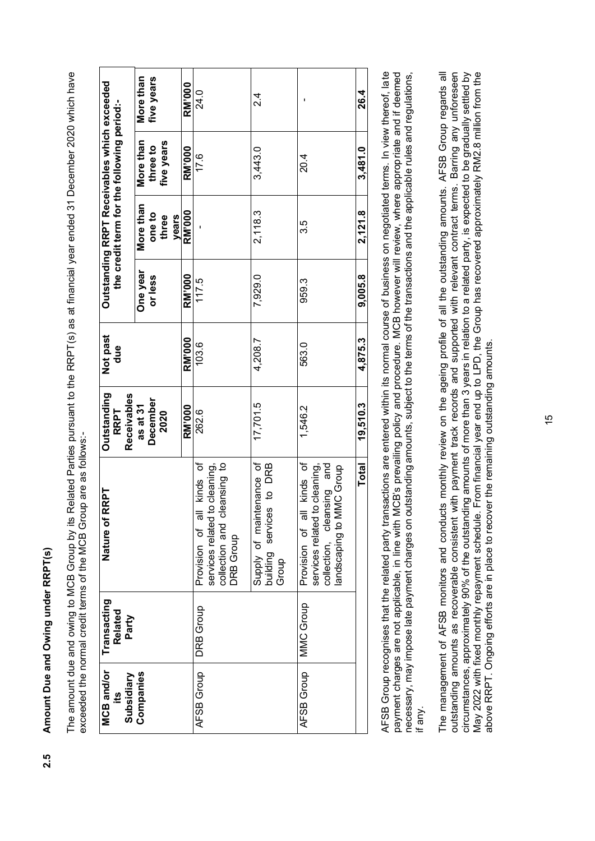Amount Due and Owing under RRPT(s) **2.5 Amount Due and Owing under RRPT(s)**  $2.5$ 

The amount due and owing to MCB Group by its Related Parties pursuant to the RRPT(s) as at financial year ended 31 December 2020 which have The amount due and owing to MCB Group by its Related Parties pursuant to the RRPT(s) as at financial year ended 31 December 2020 which have exceeded the normal credit terms of the MCB Group are as follows:exceeded the normal credit terms of the MCB Group are as follows:-

| 26.4          | 3,481.0                | 2,121.8                                                 | 9,005.8       | 4,875.3  | 19,510.3                               | <b>Total</b>                                                                                                          |                  |                                      |
|---------------|------------------------|---------------------------------------------------------|---------------|----------|----------------------------------------|-----------------------------------------------------------------------------------------------------------------------|------------------|--------------------------------------|
|               | 20 <sub>.4</sub>       | 3.5                                                     | 959.3         | 563.0    | 1,546.2                                | Provision of all kinds of<br>collection, cleansing and<br>services related to cleaning,<br>MMC Group<br>andscaping to | <b>MMC Group</b> | AFSB Group                           |
| 24<br>21      | 3,443.0                | 2,118.3                                                 | 7,929.0       | 4,208.7  | 17,701.5                               | Supply of maintenance of<br>building services to DRB<br>Group                                                         |                  |                                      |
| 24.0          | 17.6                   |                                                         | 117.5         | 103.6    | 262.6                                  | all kinds of<br>services related to cleaning,<br>cleansing to<br>collection and<br>Provision of<br><b>DRB Group</b>   | <b>DRB Group</b> | AFSB Group                           |
| <b>RM'000</b> | <b>RM'000</b>          | RM'000                                                  | <b>RM'000</b> | RM'000   | <b>RM'000</b>                          |                                                                                                                       |                  |                                      |
| five years    | five years<br>three to | one to<br>years<br>three                                | or less       |          | December<br>2020                       |                                                                                                                       |                  |                                      |
| More than     | More than              | the credit term for the following period:-<br>More than | One year      | due      | Receivables<br>as at 31<br><b>RRPT</b> |                                                                                                                       | Related<br>Party | Companies<br>Subsidiary<br><u>19</u> |
|               |                        | Outstanding RRPT Receivables which exceeded             |               | Not past | Outstanding                            | RRPT<br>Nature of                                                                                                     | Transacting      | <b>MCB</b> and/or                    |

AFSB Group recognises that the related party transactions are entered within its normal course of business on negotiated terms. In view thereof, late payment charges are not applicable, in line with MCB's prevailing policy and procedure. MCB however will review, where appropriate and if deemed necessary, may impose late payment charges on outstanding amounts, subject to the terms of the transactions and the applicable rules and regulations, AFSB Group recognises that the related party transactions are entered within its normal course of business on negotiated terms. In view thereof, late payment charges are not applicable, in line with MCB's prevailing policy and procedure. MCB however will review, where appropriate and if deemed necessary, may impose late payment charges on outstanding amounts, subject to the terms of the transactions and the applicable rules and regulations, if any.

The management of AFSB monitors and conducts monthly review on the ageing profile of all the outstanding amounts. AFSB Group regards all outstanding amounts as recoverable consistent with payment track records and supported with relevant contract terms. Barring any unforeseen circumstances, approximately 90% of the outstanding amounts of more than 3 years in relation to a related party, is expected to be gradually settled by outstanding amounts as recoverable consistent with payment track records and supported with relevant contract terms. Barring any unforeseen circumstances, approximately 90% of the outstanding amounts of more than 3 years in relation to a related party, is expected to be gradually settled by The management of AFSB monitors and conducts monthly review on the ageing profile of all the outstanding amounts. AFSB Group regards all May 2022 with fixed monthly repayment schedule. From financial year end up to LPD, the Group has recovered approximately RM2.8 million from the May 2022 with fixed monthly repayment schedule. From financial year end up to LPD, the Group has recovered approximately RM2.8 million from the above RRPT. Ongoing efforts are in place to recover the remaining outstanding amounts. above RRPT. Ongoing efforts are in place to recover the remaining outstanding amounts.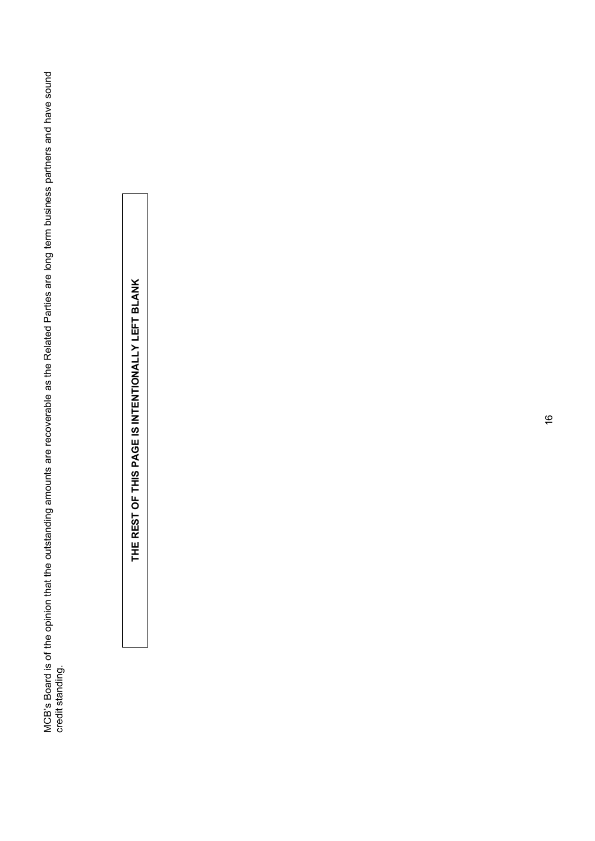MCB's Board is of the opinion that the outstanding amounts are recoverable as the Related Parties are long term business partners and have sound<br>credit standing. MCB's Board is of the opinion that the outstanding amounts are recoverable as the Related Parties are long term business partners and have sound credit standing.

THE REST OF THIS PAGE IS INTENTIONALLY LEFT BLANK **THE REST OF THIS PAGE IS INTENTIONALLY LEFT BLANK**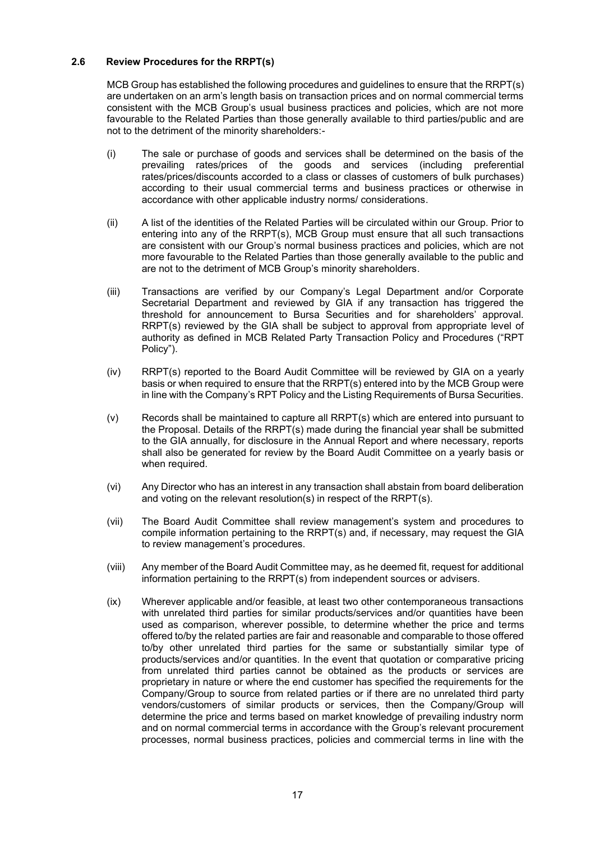# **2.6 Review Procedures for the RRPT(s)**

MCB Group has established the following procedures and guidelines to ensure that the RRPT(s) are undertaken on an arm's length basis on transaction prices and on normal commercial terms consistent with the MCB Group's usual business practices and policies, which are not more favourable to the Related Parties than those generally available to third parties/public and are not to the detriment of the minority shareholders:-

- (i) The sale or purchase of goods and services shall be determined on the basis of the prevailing rates/prices of the goods and services (including preferential rates/prices/discounts accorded to a class or classes of customers of bulk purchases) according to their usual commercial terms and business practices or otherwise in accordance with other applicable industry norms/ considerations.
- (ii) A list of the identities of the Related Parties will be circulated within our Group. Prior to entering into any of the RRPT(s), MCB Group must ensure that all such transactions are consistent with our Group's normal business practices and policies, which are not more favourable to the Related Parties than those generally available to the public and are not to the detriment of MCB Group's minority shareholders.
- (iii) Transactions are verified by our Company's Legal Department and/or Corporate Secretarial Department and reviewed by GIA if any transaction has triggered the threshold for announcement to Bursa Securities and for shareholders' approval. RRPT(s) reviewed by the GIA shall be subject to approval from appropriate level of authority as defined in MCB Related Party Transaction Policy and Procedures ("RPT Policy").
- (iv) RRPT(s) reported to the Board Audit Committee will be reviewed by GIA on a yearly basis or when required to ensure that the RRPT(s) entered into by the MCB Group were in line with the Company's RPT Policy and the Listing Requirements of Bursa Securities.
- (v) Records shall be maintained to capture all RRPT(s) which are entered into pursuant to the Proposal. Details of the RRPT(s) made during the financial year shall be submitted to the GIA annually, for disclosure in the Annual Report and where necessary, reports shall also be generated for review by the Board Audit Committee on a yearly basis or when required.
- (vi) Any Director who has an interest in any transaction shall abstain from board deliberation and voting on the relevant resolution(s) in respect of the RRPT(s).
- (vii) The Board Audit Committee shall review management's system and procedures to compile information pertaining to the RRPT(s) and, if necessary, may request the GIA to review management's procedures.
- (viii) Any member of the Board Audit Committee may, as he deemed fit, request for additional information pertaining to the RRPT(s) from independent sources or advisers.
- (ix) Wherever applicable and/or feasible, at least two other contemporaneous transactions with unrelated third parties for similar products/services and/or quantities have been used as comparison, wherever possible, to determine whether the price and terms offered to/by the related parties are fair and reasonable and comparable to those offered to/by other unrelated third parties for the same or substantially similar type of products/services and/or quantities. In the event that quotation or comparative pricing from unrelated third parties cannot be obtained as the products or services are proprietary in nature or where the end customer has specified the requirements for the Company/Group to source from related parties or if there are no unrelated third party vendors/customers of similar products or services, then the Company/Group will determine the price and terms based on market knowledge of prevailing industry norm and on normal commercial terms in accordance with the Group's relevant procurement processes, normal business practices, policies and commercial terms in line with the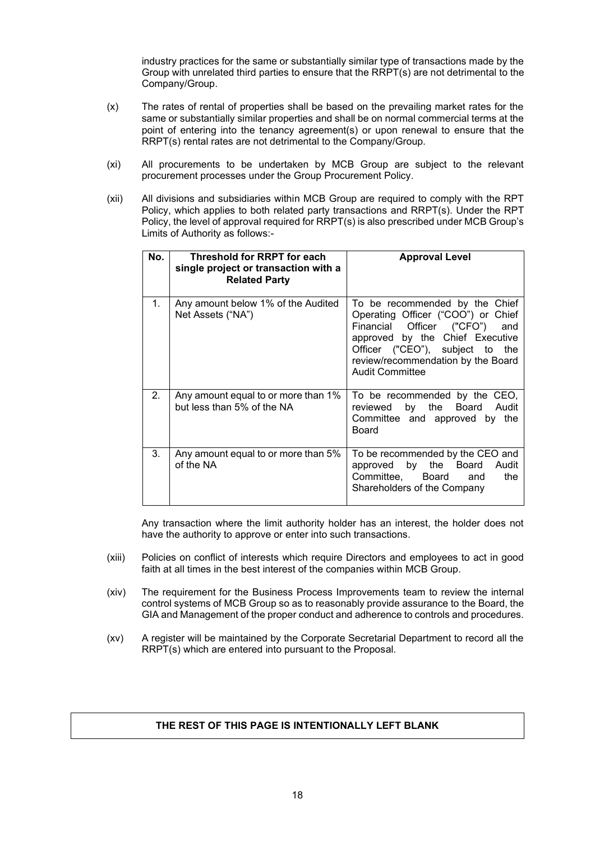industry practices for the same or substantially similar type of transactions made by the Group with unrelated third parties to ensure that the RRPT(s) are not detrimental to the Company/Group.

- (x) The rates of rental of properties shall be based on the prevailing market rates for the same or substantially similar properties and shall be on normal commercial terms at the point of entering into the tenancy agreement(s) or upon renewal to ensure that the RRPT(s) rental rates are not detrimental to the Company/Group.
- (xi) All procurements to be undertaken by MCB Group are subject to the relevant procurement processes under the Group Procurement Policy.
- (xii) All divisions and subsidiaries within MCB Group are required to comply with the RPT Policy, which applies to both related party transactions and RRPT(s). Under the RPT Policy, the level of approval required for RRPT(s) is also prescribed under MCB Group's Limits of Authority as follows:-

| No. | Threshold for RRPT for each<br>single project or transaction with a<br><b>Related Party</b> | <b>Approval Level</b>                                                                                                                                                                                                                          |
|-----|---------------------------------------------------------------------------------------------|------------------------------------------------------------------------------------------------------------------------------------------------------------------------------------------------------------------------------------------------|
| 1.  | Any amount below 1% of the Audited<br>Net Assets ("NA")                                     | To be recommended by the Chief<br>Operating Officer ("COO") or Chief<br>Financial Officer ("CFO")<br>and<br>approved by the Chief Executive<br>Officer ("CEO"), subject to the<br>review/recommendation by the Board<br><b>Audit Committee</b> |
| 2.  | Any amount equal to or more than 1%<br>but less than 5% of the NA                           | To be recommended by the CEO,<br>by the Board<br>Audit<br>reviewed<br>Committee and approved by the<br>Board                                                                                                                                   |
| 3.  | Any amount equal to or more than 5%<br>of the NA                                            | To be recommended by the CEO and<br>approved by the Board Audit<br>Committee, Board<br>the<br>and<br>Shareholders of the Company                                                                                                               |

Any transaction where the limit authority holder has an interest, the holder does not have the authority to approve or enter into such transactions.

- (xiii) Policies on conflict of interests which require Directors and employees to act in good faith at all times in the best interest of the companies within MCB Group.
- (xiv) The requirement for the Business Process Improvements team to review the internal control systems of MCB Group so as to reasonably provide assurance to the Board, the GIA and Management of the proper conduct and adherence to controls and procedures.
- (xv) A register will be maintained by the Corporate Secretarial Department to record all the RRPT(s) which are entered into pursuant to the Proposal.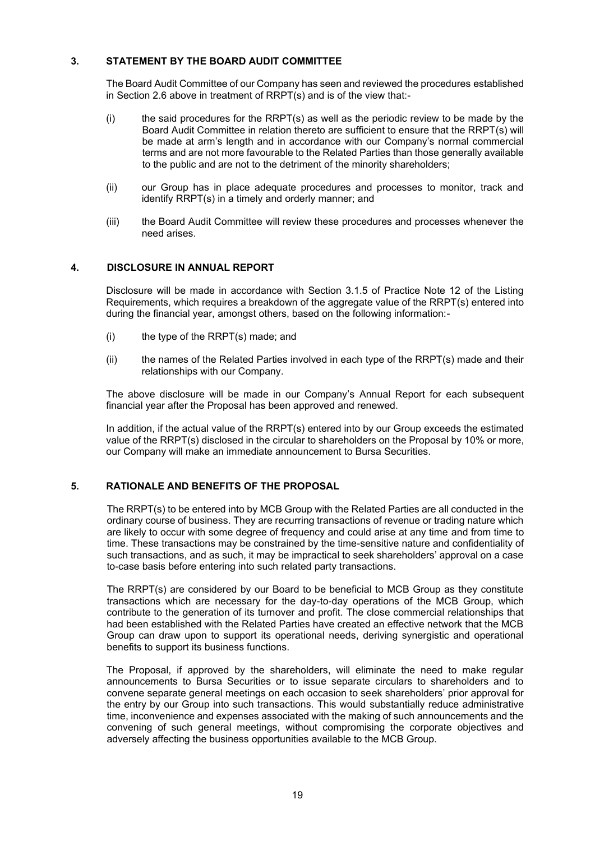# **3. STATEMENT BY THE BOARD AUDIT COMMITTEE**

The Board Audit Committee of our Company has seen and reviewed the procedures established in Section 2.6 above in treatment of RRPT(s) and is of the view that:-

- $(i)$  the said procedures for the RRPT(s) as well as the periodic review to be made by the Board Audit Committee in relation thereto are sufficient to ensure that the RRPT(s) will be made at arm's length and in accordance with our Company's normal commercial terms and are not more favourable to the Related Parties than those generally available to the public and are not to the detriment of the minority shareholders;
- (ii) our Group has in place adequate procedures and processes to monitor, track and identify RRPT(s) in a timely and orderly manner; and
- (iii) the Board Audit Committee will review these procedures and processes whenever the need arises.

# **4. DISCLOSURE IN ANNUAL REPORT**

Disclosure will be made in accordance with Section 3.1.5 of Practice Note 12 of the Listing Requirements, which requires a breakdown of the aggregate value of the RRPT(s) entered into during the financial year, amongst others, based on the following information:-

- (i) the type of the RRPT(s) made; and
- (ii) the names of the Related Parties involved in each type of the RRPT(s) made and their relationships with our Company.

The above disclosure will be made in our Company's Annual Report for each subsequent financial year after the Proposal has been approved and renewed.

In addition, if the actual value of the RRPT(s) entered into by our Group exceeds the estimated value of the RRPT(s) disclosed in the circular to shareholders on the Proposal by 10% or more, our Company will make an immediate announcement to Bursa Securities.

# **5. RATIONALE AND BENEFITS OF THE PROPOSAL**

The RRPT(s) to be entered into by MCB Group with the Related Parties are all conducted in the ordinary course of business. They are recurring transactions of revenue or trading nature which are likely to occur with some degree of frequency and could arise at any time and from time to time. These transactions may be constrained by the time-sensitive nature and confidentiality of such transactions, and as such, it may be impractical to seek shareholders' approval on a case to-case basis before entering into such related party transactions.

The RRPT(s) are considered by our Board to be beneficial to MCB Group as they constitute transactions which are necessary for the day-to-day operations of the MCB Group, which contribute to the generation of its turnover and profit. The close commercial relationships that had been established with the Related Parties have created an effective network that the MCB Group can draw upon to support its operational needs, deriving synergistic and operational benefits to support its business functions.

The Proposal, if approved by the shareholders, will eliminate the need to make regular announcements to Bursa Securities or to issue separate circulars to shareholders and to convene separate general meetings on each occasion to seek shareholders' prior approval for the entry by our Group into such transactions. This would substantially reduce administrative time, inconvenience and expenses associated with the making of such announcements and the convening of such general meetings, without compromising the corporate objectives and adversely affecting the business opportunities available to the MCB Group.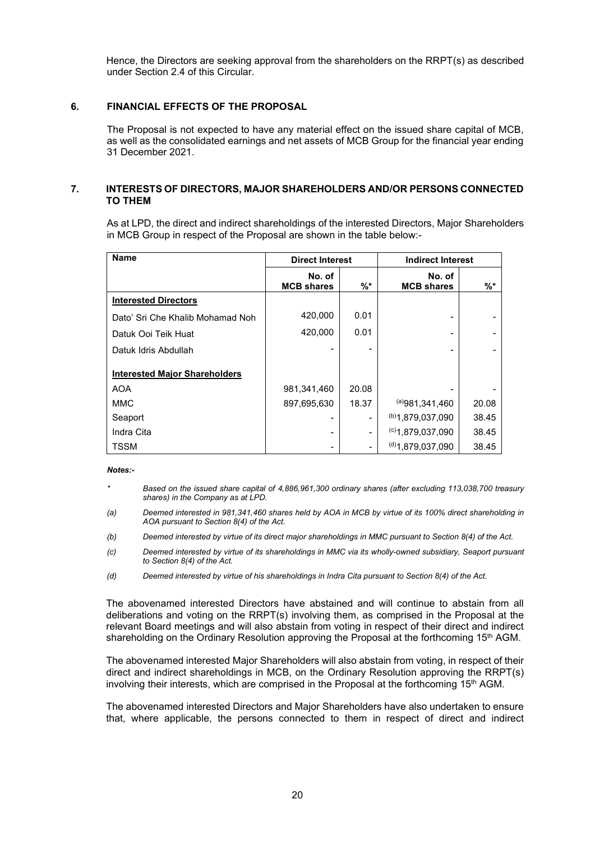Hence, the Directors are seeking approval from the shareholders on the RRPT(s) as described under Section 2.4 of this Circular.

# **6. FINANCIAL EFFECTS OF THE PROPOSAL**

The Proposal is not expected to have any material effect on the issued share capital of MCB, as well as the consolidated earnings and net assets of MCB Group for the financial year ending 31 December 2021.

# **7. INTERESTS OF DIRECTORS, MAJOR SHAREHOLDERS AND/OR PERSONS CONNECTED TO THEM**

As at LPD, the direct and indirect shareholdings of the interested Directors, Major Shareholders in MCB Group in respect of the Proposal are shown in the table below:-

| <b>Name</b>                          | <b>Direct Interest</b>      |       | <b>Indirect Interest</b>    |       |
|--------------------------------------|-----------------------------|-------|-----------------------------|-------|
|                                      | No. of<br><b>MCB shares</b> | $%$ * | No. of<br><b>MCB shares</b> | $%$ * |
| <b>Interested Directors</b>          |                             |       |                             |       |
| Dato' Sri Che Khalib Mohamad Noh     | 420,000                     | 0.01  |                             |       |
| Datuk Ooi Teik Huat                  | 420,000                     | 0.01  |                             |       |
| Datuk Idris Abdullah                 |                             |       |                             |       |
| <b>Interested Major Shareholders</b> |                             |       |                             |       |
| <b>AOA</b>                           | 981,341,460                 | 20.08 |                             |       |
| <b>MMC</b>                           | 897,695,630                 | 18.37 | (a)981,341,460              | 20.08 |
| Seaport                              |                             |       | (b)1,879,037,090            | 38.45 |
| Indra Cita                           |                             |       | $(c)$ 1.879.037.090         | 38.45 |
| <b>TSSM</b>                          |                             |       | $^{(d)}$ 1.879.037.090      | 38.45 |

## *Notes:-*

- *\* Based on the issued share capital of 4,886,961,300 ordinary shares (after excluding 113,038,700 treasury shares) in the Company as at LPD.*
- *(a) Deemed interested in 981,341,460 shares held by AOA in MCB by virtue of its 100% direct shareholding in AOA pursuant to Section 8(4) of the Act.*
- *(b) Deemed interested by virtue of its direct major shareholdings in MMC pursuant to Section 8(4) of the Act.*
- *(c) Deemed interested by virtue of its shareholdings in MMC via its wholly-owned subsidiary, Seaport pursuant to Section 8(4) of the Act.*
- *(d) Deemed interested by virtue of his shareholdings in Indra Cita pursuant to Section 8(4) of the Act.*

The abovenamed interested Directors have abstained and will continue to abstain from all deliberations and voting on the RRPT(s) involving them, as comprised in the Proposal at the relevant Board meetings and will also abstain from voting in respect of their direct and indirect shareholding on the Ordinary Resolution approving the Proposal at the forthcoming 15<sup>th</sup> AGM.

The abovenamed interested Major Shareholders will also abstain from voting, in respect of their direct and indirect shareholdings in MCB, on the Ordinary Resolution approving the RRPT(s) involving their interests, which are comprised in the Proposal at the forthcoming 15th AGM.

The abovenamed interested Directors and Major Shareholders have also undertaken to ensure that, where applicable, the persons connected to them in respect of direct and indirect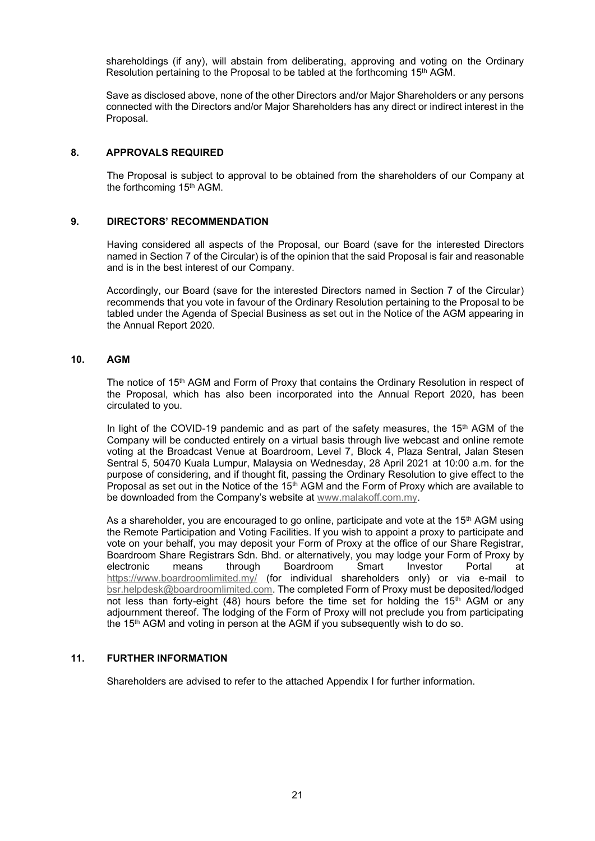shareholdings (if any), will abstain from deliberating, approving and voting on the Ordinary Resolution pertaining to the Proposal to be tabled at the forthcoming 15<sup>th</sup> AGM.

Save as disclosed above, none of the other Directors and/or Major Shareholders or any persons connected with the Directors and/or Major Shareholders has any direct or indirect interest in the Proposal.

# **8. APPROVALS REQUIRED**

The Proposal is subject to approval to be obtained from the shareholders of our Company at the forthcoming 15<sup>th</sup> AGM.

# **9. DIRECTORS' RECOMMENDATION**

Having considered all aspects of the Proposal, our Board (save for the interested Directors named in Section 7 of the Circular) is of the opinion that the said Proposal is fair and reasonable and is in the best interest of our Company.

Accordingly, our Board (save for the interested Directors named in Section 7 of the Circular) recommends that you vote in favour of the Ordinary Resolution pertaining to the Proposal to be tabled under the Agenda of Special Business as set out in the Notice of the AGM appearing in the Annual Report 2020.

# **10. AGM**

The notice of 15<sup>th</sup> AGM and Form of Proxy that contains the Ordinary Resolution in respect of the Proposal, which has also been incorporated into the Annual Report 2020, has been circulated to you.

In light of the COVID-19 pandemic and as part of the safety measures, the 15<sup>th</sup> AGM of the Company will be conducted entirely on a virtual basis through live webcast and online remote voting at the Broadcast Venue at Boardroom, Level 7, Block 4, Plaza Sentral, Jalan Stesen Sentral 5, 50470 Kuala Lumpur, Malaysia on Wednesday, 28 April 2021 at 10:00 a.m. for the purpose of considering, and if thought fit, passing the Ordinary Resolution to give effect to the Proposal as set out in the Notice of the 15<sup>th</sup> AGM and the Form of Proxy which are available to be downloaded from the Company's website at www.malakoff.com.my.

As a shareholder, you are encouraged to go online, participate and vote at the 15<sup>th</sup> AGM using the Remote Participation and Voting Facilities. If you wish to appoint a proxy to participate and vote on your behalf, you may deposit your Form of Proxy at the office of our Share Registrar, Boardroom Share Registrars Sdn. Bhd. or alternatively, you may lodge your Form of Proxy by electronic means through Boardroom Smart Investor Portal at https://www.boardroomlimited.my/ (for individual shareholders only) or via e-mail to bsr.helpdesk@boardroomlimited.com. The completed Form of Proxy must be deposited/lodged not less than forty-eight (48) hours before the time set for holding the  $15<sup>th</sup>$  AGM or any adjournment thereof. The lodging of the Form of Proxy will not preclude you from participating the 15<sup>th</sup> AGM and voting in person at the AGM if you subsequently wish to do so.

# **11. FURTHER INFORMATION**

Shareholders are advised to refer to the attached Appendix I for further information.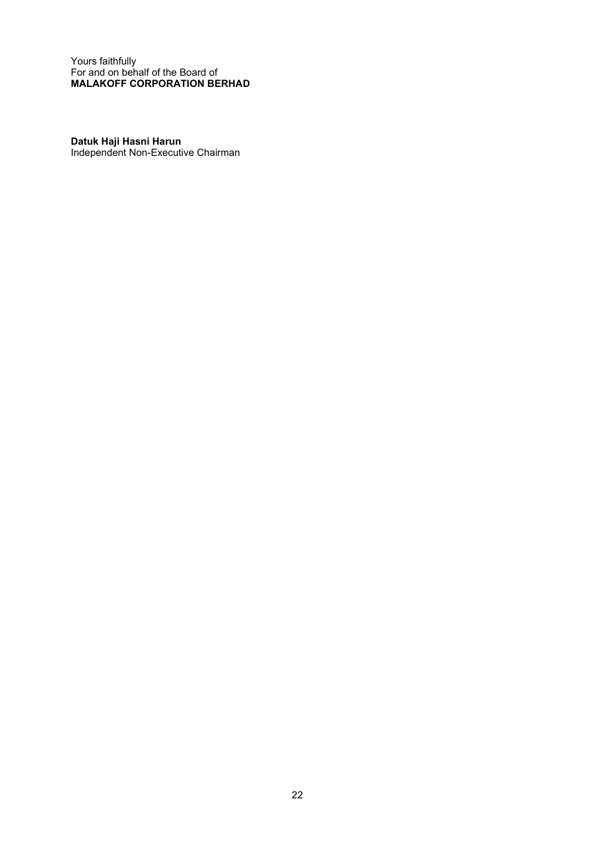Yours faithfully For and on behalf of the Board of **MALAKOFF CORPORATION BERHAD**

**Datuk Haji Hasni Harun** Independent Non-Executive Chairman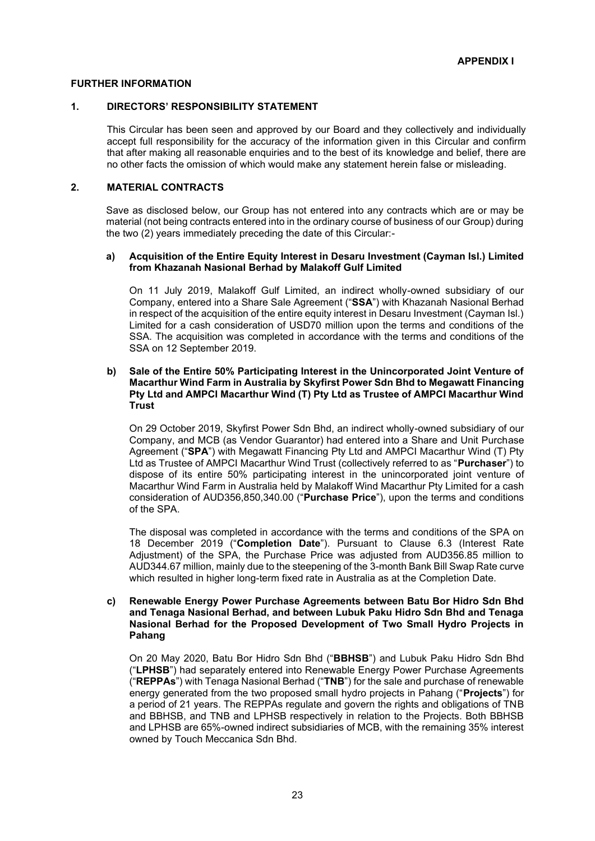# **FURTHER INFORMATION**

# **1. DIRECTORS' RESPONSIBILITY STATEMENT**

This Circular has been seen and approved by our Board and they collectively and individually accept full responsibility for the accuracy of the information given in this Circular and confirm that after making all reasonable enquiries and to the best of its knowledge and belief, there are no other facts the omission of which would make any statement herein false or misleading.

# **2. MATERIAL CONTRACTS**

Save as disclosed below, our Group has not entered into any contracts which are or may be material (not being contracts entered into in the ordinary course of business of our Group) during the two (2) years immediately preceding the date of this Circular:-

# **a) Acquisition of the Entire Equity Interest in Desaru Investment (Cayman Isl.) Limited from Khazanah Nasional Berhad by Malakoff Gulf Limited**

On 11 July 2019, Malakoff Gulf Limited, an indirect wholly-owned subsidiary of our Company, entered into a Share Sale Agreement ("**SSA**") with Khazanah Nasional Berhad in respect of the acquisition of the entire equity interest in Desaru Investment (Cayman Isl.) Limited for a cash consideration of USD70 million upon the terms and conditions of the SSA. The acquisition was completed in accordance with the terms and conditions of the SSA on 12 September 2019.

# **b) Sale of the Entire 50% Participating Interest in the Unincorporated Joint Venture of Macarthur Wind Farm in Australia by Skyfirst Power Sdn Bhd to Megawatt Financing Pty Ltd and AMPCI Macarthur Wind (T) Pty Ltd as Trustee of AMPCI Macarthur Wind Trust**

On 29 October 2019, Skyfirst Power Sdn Bhd, an indirect wholly-owned subsidiary of our Company, and MCB (as Vendor Guarantor) had entered into a Share and Unit Purchase Agreement ("**SPA**") with Megawatt Financing Pty Ltd and AMPCI Macarthur Wind (T) Pty Ltd as Trustee of AMPCI Macarthur Wind Trust (collectively referred to as "**Purchaser**") to dispose of its entire 50% participating interest in the unincorporated joint venture of Macarthur Wind Farm in Australia held by Malakoff Wind Macarthur Pty Limited for a cash consideration of AUD356,850,340.00 ("**Purchase Price**"), upon the terms and conditions of the SPA.

The disposal was completed in accordance with the terms and conditions of the SPA on 18 December 2019 ("**Completion Date**"). Pursuant to Clause 6.3 (Interest Rate Adjustment) of the SPA, the Purchase Price was adjusted from AUD356.85 million to AUD344.67 million, mainly due to the steepening of the 3-month Bank Bill Swap Rate curve which resulted in higher long-term fixed rate in Australia as at the Completion Date.

# **c) Renewable Energy Power Purchase Agreements between Batu Bor Hidro Sdn Bhd and Tenaga Nasional Berhad, and between Lubuk Paku Hidro Sdn Bhd and Tenaga Nasional Berhad for the Proposed Development of Two Small Hydro Projects in Pahang**

On 20 May 2020, Batu Bor Hidro Sdn Bhd ("**BBHSB**") and Lubuk Paku Hidro Sdn Bhd ("**LPHSB**") had separately entered into Renewable Energy Power Purchase Agreements ("**REPPAs**") with Tenaga Nasional Berhad ("**TNB**") for the sale and purchase of renewable energy generated from the two proposed small hydro projects in Pahang ("**Projects**") for a period of 21 years. The REPPAs regulate and govern the rights and obligations of TNB and BBHSB, and TNB and LPHSB respectively in relation to the Projects. Both BBHSB and LPHSB are 65%-owned indirect subsidiaries of MCB, with the remaining 35% interest owned by Touch Meccanica Sdn Bhd.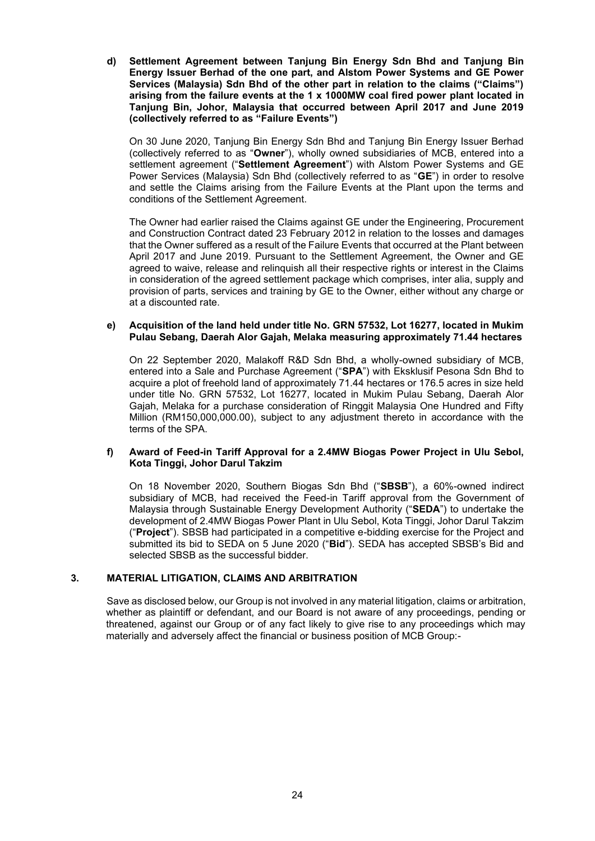**d) Settlement Agreement between Tanjung Bin Energy Sdn Bhd and Tanjung Bin Energy Issuer Berhad of the one part, and Alstom Power Systems and GE Power Services (Malaysia) Sdn Bhd of the other part in relation to the claims ("Claims") arising from the failure events at the 1 x 1000MW coal fired power plant located in Tanjung Bin, Johor, Malaysia that occurred between April 2017 and June 2019 (collectively referred to as "Failure Events")**

On 30 June 2020, Tanjung Bin Energy Sdn Bhd and Tanjung Bin Energy Issuer Berhad (collectively referred to as "**Owner**"), wholly owned subsidiaries of MCB, entered into a settlement agreement ("**Settlement Agreement**") with Alstom Power Systems and GE Power Services (Malaysia) Sdn Bhd (collectively referred to as "**GE**") in order to resolve and settle the Claims arising from the Failure Events at the Plant upon the terms and conditions of the Settlement Agreement.

The Owner had earlier raised the Claims against GE under the Engineering, Procurement and Construction Contract dated 23 February 2012 in relation to the losses and damages that the Owner suffered as a result of the Failure Events that occurred at the Plant between April 2017 and June 2019. Pursuant to the Settlement Agreement, the Owner and GE agreed to waive, release and relinquish all their respective rights or interest in the Claims in consideration of the agreed settlement package which comprises, inter alia, supply and provision of parts, services and training by GE to the Owner, either without any charge or at a discounted rate.

# **e) Acquisition of the land held under title No. GRN 57532, Lot 16277, located in Mukim Pulau Sebang, Daerah Alor Gajah, Melaka measuring approximately 71.44 hectares**

On 22 September 2020, Malakoff R&D Sdn Bhd, a wholly-owned subsidiary of MCB, entered into a Sale and Purchase Agreement ("**SPA**") with Eksklusif Pesona Sdn Bhd to acquire a plot of freehold land of approximately 71.44 hectares or 176.5 acres in size held under title No. GRN 57532, Lot 16277, located in Mukim Pulau Sebang, Daerah Alor Gajah, Melaka for a purchase consideration of Ringgit Malaysia One Hundred and Fifty Million (RM150,000,000.00), subject to any adjustment thereto in accordance with the terms of the SPA.

# **f) Award of Feed-in Tariff Approval for a 2.4MW Biogas Power Project in Ulu Sebol, Kota Tinggi, Johor Darul Takzim**

On 18 November 2020, Southern Biogas Sdn Bhd ("**SBSB**"), a 60%-owned indirect subsidiary of MCB, had received the Feed-in Tariff approval from the Government of Malaysia through Sustainable Energy Development Authority ("**SEDA**") to undertake the development of 2.4MW Biogas Power Plant in Ulu Sebol, Kota Tinggi, Johor Darul Takzim ("**Project**"). SBSB had participated in a competitive e-bidding exercise for the Project and submitted its bid to SEDA on 5 June 2020 ("**Bid**"). SEDA has accepted SBSB's Bid and selected SBSB as the successful bidder.

# **3. MATERIAL LITIGATION, CLAIMS AND ARBITRATION**

Save as disclosed below, our Group is not involved in any material litigation, claims or arbitration, whether as plaintiff or defendant, and our Board is not aware of any proceedings, pending or threatened, against our Group or of any fact likely to give rise to any proceedings which may materially and adversely affect the financial or business position of MCB Group:-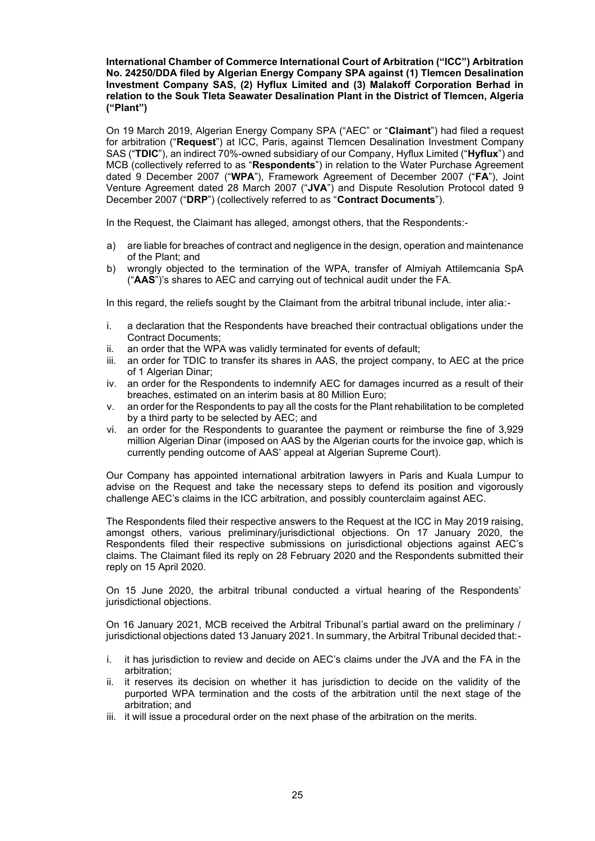# **International Chamber of Commerce International Court of Arbitration ("ICC") Arbitration No. 24250/DDA filed by Algerian Energy Company SPA against (1) Tlemcen Desalination Investment Company SAS, (2) Hyflux Limited and (3) Malakoff Corporation Berhad in relation to the Souk Tleta Seawater Desalination Plant in the District of Tlemcen, Algeria ("Plant")**

On 19 March 2019, Algerian Energy Company SPA ("AEC" or "**Claimant**") had filed a request for arbitration ("**Request**") at ICC, Paris, against Tlemcen Desalination Investment Company SAS ("**TDIC**"), an indirect 70%-owned subsidiary of our Company, Hyflux Limited ("**Hyflux**") and MCB (collectively referred to as "**Respondents**") in relation to the Water Purchase Agreement dated 9 December 2007 ("**WPA**"), Framework Agreement of December 2007 ("**FA**"), Joint Venture Agreement dated 28 March 2007 ("**JVA**") and Dispute Resolution Protocol dated 9 December 2007 ("**DRP**") (collectively referred to as "**Contract Documents**").

In the Request, the Claimant has alleged, amongst others, that the Respondents:-

- a) are liable for breaches of contract and negligence in the design, operation and maintenance of the Plant; and
- b) wrongly objected to the termination of the WPA, transfer of Almiyah Attilemcania SpA ("**AAS**")'s shares to AEC and carrying out of technical audit under the FA.

In this regard, the reliefs sought by the Claimant from the arbitral tribunal include, inter alia:-

- i. a declaration that the Respondents have breached their contractual obligations under the Contract Documents;
- ii. an order that the WPA was validly terminated for events of default;
- iii. an order for TDIC to transfer its shares in AAS, the project company, to AEC at the price of 1 Algerian Dinar;
- iv. an order for the Respondents to indemnify AEC for damages incurred as a result of their breaches, estimated on an interim basis at 80 Million Euro;
- v. an order for the Respondents to pay all the costs for the Plant rehabilitation to be completed by a third party to be selected by AEC; and
- vi. an order for the Respondents to guarantee the payment or reimburse the fine of 3,929 million Algerian Dinar (imposed on AAS by the Algerian courts for the invoice gap, which is currently pending outcome of AAS' appeal at Algerian Supreme Court).

Our Company has appointed international arbitration lawyers in Paris and Kuala Lumpur to advise on the Request and take the necessary steps to defend its position and vigorously challenge AEC's claims in the ICC arbitration, and possibly counterclaim against AEC.

The Respondents filed their respective answers to the Request at the ICC in May 2019 raising, amongst others, various preliminary/jurisdictional objections. On 17 January 2020, the Respondents filed their respective submissions on jurisdictional objections against AEC's claims. The Claimant filed its reply on 28 February 2020 and the Respondents submitted their reply on 15 April 2020.

On 15 June 2020, the arbitral tribunal conducted a virtual hearing of the Respondents' jurisdictional objections.

On 16 January 2021, MCB received the Arbitral Tribunal's partial award on the preliminary / jurisdictional objections dated 13 January 2021. In summary, the Arbitral Tribunal decided that:-

- i. it has jurisdiction to review and decide on AEC's claims under the JVA and the FA in the arbitration;
- ii. it reserves its decision on whether it has jurisdiction to decide on the validity of the purported WPA termination and the costs of the arbitration until the next stage of the arbitration; and
- iii. it will issue a procedural order on the next phase of the arbitration on the merits.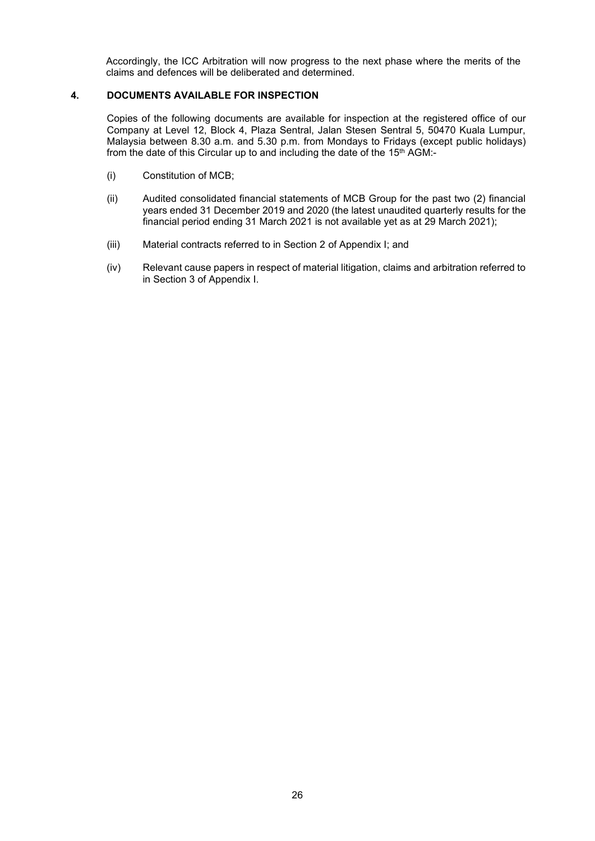Accordingly, the ICC Arbitration will now progress to the next phase where the merits of the claims and defences will be deliberated and determined.

# **4. DOCUMENTS AVAILABLE FOR INSPECTION**

Copies of the following documents are available for inspection at the registered office of our Company at Level 12, Block 4, Plaza Sentral, Jalan Stesen Sentral 5, 50470 Kuala Lumpur, Malaysia between 8.30 a.m. and 5.30 p.m. from Mondays to Fridays (except public holidays) from the date of this Circular up to and including the date of the 15<sup>th</sup> AGM:-

- (i) Constitution of MCB;
- (ii) Audited consolidated financial statements of MCB Group for the past two (2) financial years ended 31 December 2019 and 2020 (the latest unaudited quarterly results for the financial period ending 31 March 2021 is not available yet as at 29 March 2021);
- (iii) Material contracts referred to in Section 2 of Appendix I; and
- (iv) Relevant cause papers in respect of material litigation, claims and arbitration referred to in Section 3 of Appendix I.